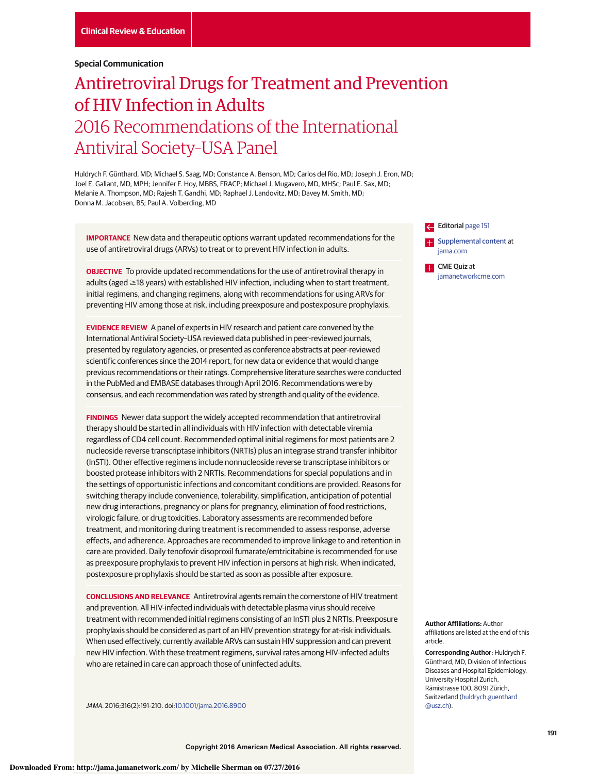## **Special Communication**

# Antiretroviral Drugs for Treatment and Prevention of HIV Infection in Adults 2016 Recommendations of the International Antiviral Society–USA Panel

Huldrych F. Günthard, MD; Michael S. Saag, MD; Constance A. Benson, MD; Carlos del Rio, MD; Joseph J. Eron, MD; Joel E. Gallant, MD, MPH; Jennifer F. Hoy, MBBS, FRACP; Michael J. Mugavero, MD, MHSc; Paul E. Sax, MD; Melanie A. Thompson, MD; Rajesh T. Gandhi, MD; Raphael J. Landovitz, MD; Davey M. Smith, MD; Donna M. Jacobsen, BS; Paul A. Volberding, MD

**IMPORTANCE** New data and therapeutic options warrant updated recommendations for the use of antiretroviral drugs (ARVs) to treat or to prevent HIV infection in adults.

**OBJECTIVE** To provide updated recommendations for the use of antiretroviral therapy in adults (aged  $\geq$  18 years) with established HIV infection, including when to start treatment, initial regimens, and changing regimens, along with recommendations for using ARVs for preventing HIV among those at risk, including preexposure and postexposure prophylaxis.

**EVIDENCE REVIEW** A panel of experts in HIV research and patient care convened by the International Antiviral Society–USA reviewed data published in peer-reviewed journals, presented by regulatory agencies, or presented as conference abstracts at peer-reviewed scientific conferences since the 2014 report, for new data or evidence that would change previous recommendations or their ratings. Comprehensive literature searches were conducted in the PubMed and EMBASE databases through April 2016. Recommendations were by consensus, and each recommendation was rated by strength and quality of the evidence.

**FINDINGS** Newer data support the widely accepted recommendation that antiretroviral therapy should be started in all individuals with HIV infection with detectable viremia regardless of CD4 cell count. Recommended optimal initial regimens for most patients are 2 nucleoside reverse transcriptase inhibitors (NRTIs) plus an integrase strand transfer inhibitor (InSTI). Other effective regimens include nonnucleoside reverse transcriptase inhibitors or boosted protease inhibitors with 2 NRTIs. Recommendations for special populations and in the settings of opportunistic infections and concomitant conditions are provided. Reasons for switching therapy include convenience, tolerability, simplification, anticipation of potential new drug interactions, pregnancy or plans for pregnancy, elimination of food restrictions, virologic failure, or drug toxicities. Laboratory assessments are recommended before treatment, and monitoring during treatment is recommended to assess response, adverse effects, and adherence. Approaches are recommended to improve linkage to and retention in care are provided. Daily tenofovir disoproxil fumarate/emtricitabine is recommended for use as preexposure prophylaxis to prevent HIV infection in persons at high risk. When indicated, postexposure prophylaxis should be started as soon as possible after exposure.

**CONCLUSIONS AND RELEVANCE** Antiretroviral agents remain the cornerstone of HIV treatment and prevention. All HIV-infected individuals with detectable plasma virus should receive treatment with recommended initial regimens consisting of an InSTI plus 2 NRTIs. Preexposure prophylaxis should be considered as part of an HIV prevention strategy for at-risk individuals. When used effectively, currently available ARVs can sustain HIV suppression and can prevent new HIV infection. With these treatment regimens, survival rates among HIV-infected adults who are retained in care can approach those of uninfected adults.

*JAMA*. 2016;316(2):191-210. doi[:10.1001/jama.2016.8900](http://jama.jamanetwork.com/article.aspx?doi=10.1001/jama.2016.8900&utm_campaign=articlePDF%26utm_medium=articlePDFlink%26utm_source=articlePDF%26utm_content=jama.2016.8900)



**Author Affiliations:** Author affiliations are listed at the end of this article.

**Corresponding Author**: Huldrych F. Günthard, MD, Division of Infectious Diseases and Hospital Epidemiology, University Hospital Zurich, Rämistrasse 100, 8091 Zürich, Switzerland [\(huldrych.guenthard](mailto:huldrych.guenthard@usz.ch) [@usz.ch\)](mailto:huldrych.guenthard@usz.ch).

**Copyright 2016 American Medical Association. All rights reserved.**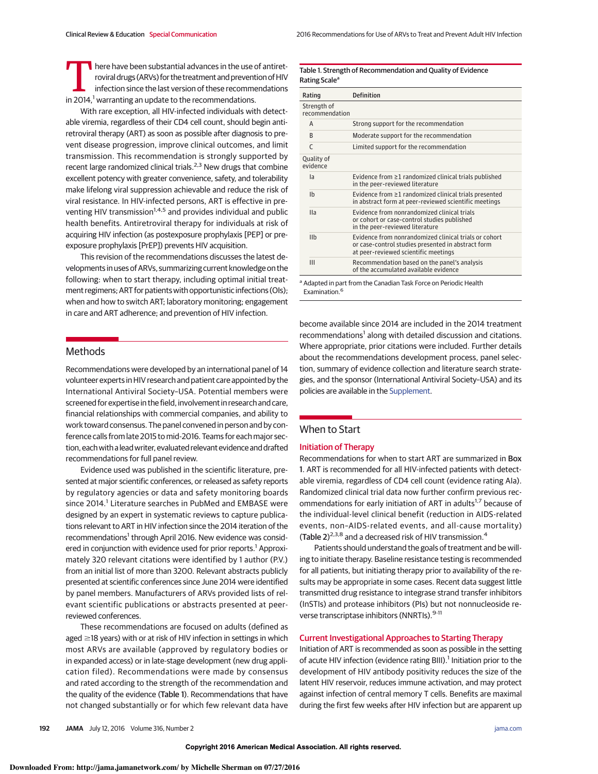There have been substantial advances in the use of antiret-<br>
infection since the last version of these recommendations<br>
in 2014 luxernations are undate to the recommendations roviral drugs (ARVs) for the treatment and prevention of HIV in 2014,<sup>1</sup> warranting an update to the recommendations.

With rare exception, all HIV-infected individuals with detectable viremia, regardless of their CD4 cell count, should begin antiretroviral therapy (ART) as soon as possible after diagnosis to prevent disease progression, improve clinical outcomes, and limit transmission. This recommendation is strongly supported by recent large randomized clinical trials.<sup>2,3</sup> New drugs that combine excellent potency with greater convenience, safety, and tolerability make lifelong viral suppression achievable and reduce the risk of viral resistance. In HIV-infected persons, ART is effective in preventing HIV transmission $1,4,5$  and provides individual and public health benefits. Antiretroviral therapy for individuals at risk of acquiring HIV infection (as postexposure prophylaxis [PEP] or preexposure prophylaxis [PrEP]) prevents HIV acquisition.

This revision of the recommendations discusses the latest developments in uses of ARVs, summarizing current knowledge on the following: when to start therapy, including optimal initial treatment regimens; ART for patients with opportunistic infections (OIs); when and how to switch ART; laboratory monitoring; engagement in care and ART adherence; and prevention of HIV infection.

# Methods

Recommendations were developed by an international panel of 14 volunteer experts in HIV research and patient care appointed by the International Antiviral Society–USA. Potential members were screened for expertise in the field, involvement in research and care, financial relationships with commercial companies, and ability to work toward consensus. The panel convened in person and by conference calls from late 2015 to mid-2016. Teams for each major section, each with a lead writer, evaluated relevant evidence and drafted recommendations for full panel review.

Evidence used was published in the scientific literature, presented at major scientific conferences, or released as safety reports by regulatory agencies or data and safety monitoring boards since 2014.<sup>1</sup> Literature searches in PubMed and EMBASE were designed by an expert in systematic reviews to capture publications relevant to ART in HIV infection since the 2014 iteration of the recommendations<sup>1</sup> through April 2016. New evidence was considered in conjunction with evidence used for prior reports.<sup>1</sup> Approximately 320 relevant citations were identified by 1 author (P.V.) from an initial list of more than 3200. Relevant abstracts publicly presented at scientific conferences since June 2014 were identified by panel members. Manufacturers of ARVs provided lists of relevant scientific publications or abstracts presented at peerreviewed conferences.

These recommendations are focused on adults (defined as aged  $\geq$ 18 years) with or at risk of HIV infection in settings in which most ARVs are available (approved by regulatory bodies or in expanded access) or in late-stage development (new drug application filed). Recommendations were made by consensus and rated according to the strength of the recommendation and the quality of the evidence (Table 1). Recommendations that have not changed substantially or for which few relevant data have

## Table 1. Strength of Recommendation and Quality of Evidence Rating Scale<sup>a</sup>

| Rating                        | <b>Definition</b>                                                                                                                                   |
|-------------------------------|-----------------------------------------------------------------------------------------------------------------------------------------------------|
| Strength of<br>recommendation |                                                                                                                                                     |
| A                             | Strong support for the recommendation                                                                                                               |
| B                             | Moderate support for the recommendation                                                                                                             |
| C                             | Limited support for the recommendation                                                                                                              |
| Quality of<br>evidence        |                                                                                                                                                     |
| la                            | Evidence from $\geq 1$ randomized clinical trials published<br>in the peer-reviewed literature                                                      |
| Ib                            | Evidence from $\geq 1$ randomized clinical trials presented<br>in abstract form at peer-reviewed scientific meetings                                |
| <b>Ila</b>                    | Evidence from nonrandomized clinical trials<br>or cohort or case-control studies published<br>in the peer-reviewed literature                       |
| <b>IIb</b>                    | Evidence from nonrandomized clinical trials or cohort<br>or case-control studies presented in abstract form<br>at peer-reviewed scientific meetings |
| III                           | Recommendation based on the panel's analysis<br>of the accumulated available evidence                                                               |
|                               | a Adapted in part from the Canadian Task Force on Periodic Health                                                                                   |

Examination.<sup>6</sup>

become available since 2014 are included in the 2014 treatment recommendations<sup>1</sup> along with detailed discussion and citations. Where appropriate, prior citations were included. Further details about the recommendations development process, panel selection, summary of evidence collection and literature search strategies, and the sponsor (International Antiviral Society–USA) and its policies are available in the [Supplement.](http://jama.jamanetwork.com/article.aspx?doi=10.1001/jama.2016.8900&utm_campaign=articlePDF%26utm_medium=articlePDFlink%26utm_source=articlePDF%26utm_content=jama.2016.8900)

# When to Start

# Initiation of Therapy

Recommendations for when to start ART are summarized in Box 1. ART is recommended for all HIV-infected patients with detectable viremia, regardless of CD4 cell count (evidence rating AIa). Randomized clinical trial data now further confirm previous recommendations for early initiation of ART in adults<sup>1,7</sup> because of the individual-level clinical benefit (reduction in AIDS-related events, non–AIDS-related events, and all-cause mortality) (Table 2)<sup>2,3,8</sup> and a decreased risk of HIV transmission.<sup>4</sup>

Patients should understand the goals of treatment and be willing to initiate therapy. Baseline resistance testing is recommended for all patients, but initiating therapy prior to availability of the results may be appropriate in some cases. Recent data suggest little transmitted drug resistance to integrase strand transfer inhibitors (InSTIs) and protease inhibitors (PIs) but not nonnucleoside reverse transcriptase inhibitors (NNRTIs).<sup>9-11</sup>

# Current Investigational Approaches to Starting Therapy

Initiation of ART is recommended as soon as possible in the setting of acute HIV infection (evidence rating BIII).<sup>1</sup> Initiation prior to the development of HIV antibody positivity reduces the size of the latent HIV reservoir, reduces immune activation, and may protect against infection of central memory T cells. Benefits are maximal during the first few weeks after HIV infection but are apparent up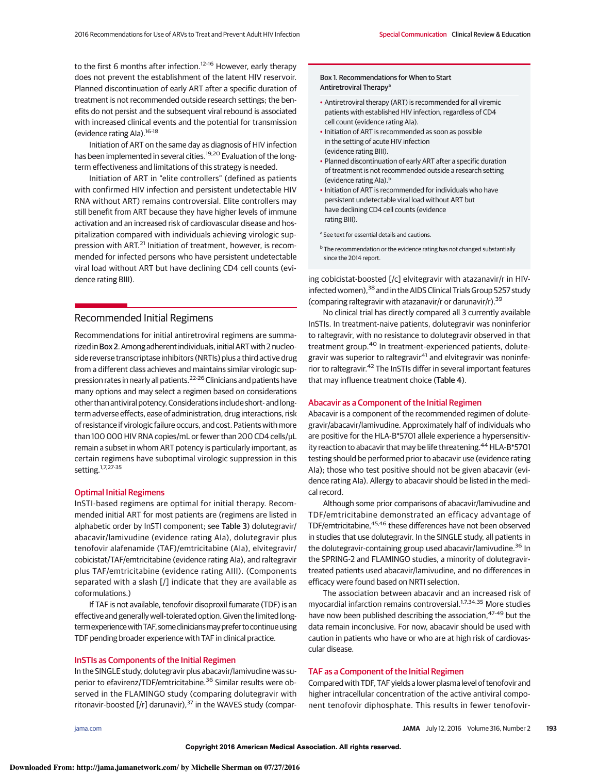to the first 6 months after infection.<sup>12-16</sup> However, early therapy does not prevent the establishment of the latent HIV reservoir. Planned discontinuation of early ART after a specific duration of treatment is not recommended outside research settings; the benefits do not persist and the subsequent viral rebound is associated with increased clinical events and the potential for transmission (evidence rating Ala).<sup>16-18</sup>

Initiation of ART on the same day as diagnosis of HIV infection has been implemented in several cities.<sup>19,20</sup> Evaluation of the longterm effectiveness and limitations of this strategy is needed.

Initiation of ART in "elite controllers" (defined as patients with confirmed HIV infection and persistent undetectable HIV RNA without ART) remains controversial. Elite controllers may still benefit from ART because they have higher levels of immune activation and an increased risk of cardiovascular disease and hospitalization compared with individuals achieving virologic suppression with ART.<sup>21</sup> Initiation of treatment, however, is recommended for infected persons who have persistent undetectable viral load without ART but have declining CD4 cell counts (evidence rating BIII).

# Recommended Initial Regimens

Recommendations for initial antiretroviral regimens are summarized inBox 2. Among adherent individuals, initial ART with 2 nucleoside reverse transcriptase inhibitors (NRTIs) plus a third active drug from a different class achieves and maintains similar virologic suppression rates in nearly all patients.22-26 Clinicians and patients have many options and may select a regimen based on considerations other than antiviral potency. Considerations include short- and longterm adverse effects, ease of administration, drug interactions, risk of resistance if virologic failure occurs, and cost. Patients with more than 100 000 HIV RNA copies/mL or fewer than 200 CD4 cells/µL remain a subset in whom ART potency is particularly important, as certain regimens have suboptimal virologic suppression in this setting.1,7,27-35

#### Optimal Initial Regimens

InSTI-based regimens are optimal for initial therapy. Recommended initial ART for most patients are (regimens are listed in alphabetic order by InSTI component; see Table 3) dolutegravir/ abacavir/lamivudine (evidence rating AIa), dolutegravir plus tenofovir alafenamide (TAF)/emtricitabine (AIa), elvitegravir/ cobicistat/TAF/emtricitabine (evidence rating AIa), and raltegravir plus TAF/emtricitabine (evidence rating AIII). (Components separated with a slash [/] indicate that they are available as coformulations.)

If TAF is not available, tenofovir disoproxil fumarate (TDF) is an effective and generally well-tolerated option. Given the limited longterm experience with TAF, some clinicians may prefer to continue using TDF pending broader experience with TAF in clinical practice.

# InSTIs as Components of the Initial Regimen

In the SINGLE study, dolutegravir plus abacavir/lamivudine was superior to efavirenz/TDF/emtricitabine.<sup>36</sup> Similar results were observed in the FLAMINGO study (comparing dolutegravir with ritonavir-boosted [/r] darunavir), $^{37}$  in the WAVES study (comparBox 1. Recommendations for When to Start Antiretroviral Therapy<sup>a</sup>

- Antiretroviral therapy (ART) is recommended for all viremic patients with established HIV infection, regardless of CD4 cell count (evidence rating AIa).
- Initiation of ART is recommended as soon as possible in the setting of acute HIV infection (evidence rating BIII).
- Planned discontinuation of early ART after a specific duration of treatment is not recommended outside a research setting (evidence rating AIa).<sup>b</sup>
- Initiation of ART is recommended for individuals who have persistent undetectable viral load without ART but have declining CD4 cell counts (evidence rating BIII).

<sup>a</sup> See text for essential details and cautions.

<sup>b</sup> The recommendation or the evidence rating has not changed substantially since the 2014 report.

ing cobicistat-boosted [/c] elvitegravir with atazanavir/r in HIVinfected women),<sup>38</sup> and in the AIDS Clinical Trials Group 5257 study (comparing raltegravir with atazanavir/r or darunavir/r).<sup>39</sup>

No clinical trial has directly compared all 3 currently available InSTIs. In treatment-naive patients, dolutegravir was noninferior to raltegravir, with no resistance to dolutegravir observed in that treatment group.<sup>40</sup> In treatment-experienced patients, dolutegravir was superior to raltegravir<sup>41</sup> and elvitegravir was noninferior to raltegravir.<sup>42</sup> The InSTIs differ in several important features that may influence treatment choice (Table 4).

## Abacavir as a Component of the Initial Regimen

Abacavir is a component of the recommended regimen of dolutegravir/abacavir/lamivudine. Approximately half of individuals who are positive for the HLA-B\*5701 allele experience a hypersensitivity reaction to abacavir that may be life threatening.<sup>44</sup> HLA-B\*5701 testing should be performed prior to abacavir use (evidence rating AIa); those who test positive should not be given abacavir (evidence rating AIa). Allergy to abacavir should be listed in the medical record.

Although some prior comparisons of abacavir/lamivudine and TDF/emtricitabine demonstrated an efficacy advantage of TDF/emtricitabine,<sup>45,46</sup> these differences have not been observed in studies that use dolutegravir. In the SINGLE study, all patients in the dolutegravir-containing group used abacavir/lamivudine.<sup>36</sup> In the SPRING-2 and FLAMINGO studies, a minority of dolutegravirtreated patients used abacavir/lamivudine, and no differences in efficacy were found based on NRTI selection.

The association between abacavir and an increased risk of myocardial infarction remains controversial.<sup>1,7,34,35</sup> More studies have now been published describing the association, <sup>47-49</sup> but the data remain inconclusive. For now, abacavir should be used with caution in patients who have or who are at high risk of cardiovascular disease.

## TAF as a Component of the Initial Regimen

Compared with TDF, TAF yields a lower plasma level of tenofovir and higher intracellular concentration of the active antiviral component tenofovir diphosphate. This results in fewer tenofovir-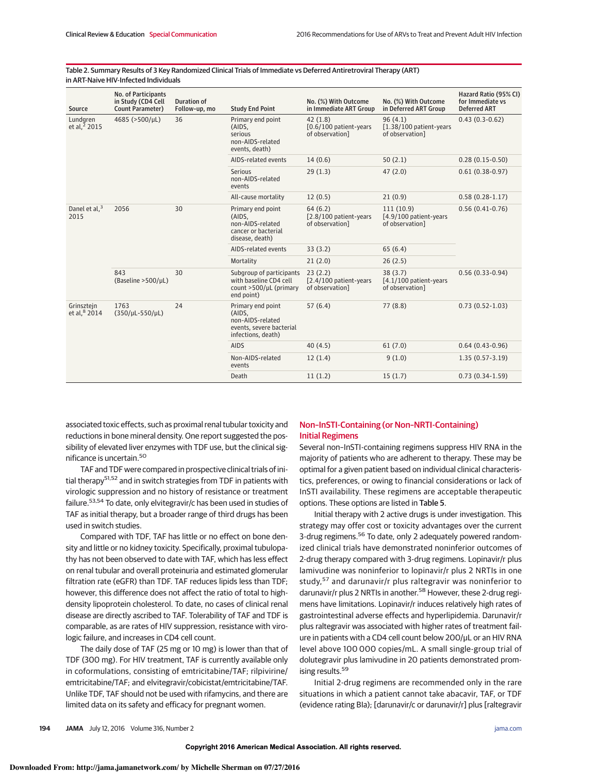Table 2. Summary Results of 3 Key Randomized Clinical Trials of Immediate vs Deferred Antiretroviral Therapy (ART) in ART-Naive HIV-Infected Individuals

| Source                                 | <b>No. of Participants</b><br>in Study (CD4 Cell<br><b>Count Parameter)</b> | <b>Duration of</b><br>Follow-up, mo | <b>Study End Point</b>                                                                            | No. (%) With Outcome<br>in Immediate ART Group        | No. (%) With Outcome<br>in Deferred ART Group           | Hazard Ratio (95% CI)<br>for Immediate vs<br><b>Deferred ART</b> |
|----------------------------------------|-----------------------------------------------------------------------------|-------------------------------------|---------------------------------------------------------------------------------------------------|-------------------------------------------------------|---------------------------------------------------------|------------------------------------------------------------------|
| Lundaren<br>et al, $2$ 2015            | 4685 (>500/µL)                                                              | 36                                  | Primary end point<br>(AIDS,<br>serious<br>non-AIDS-related<br>events, death)                      | 42(1.8)<br>[0.6/100 patient-years<br>of observation]  | 96(4.1)<br>[1.38/100 patient-years<br>of observation]   | $0.43(0.3-0.62)$                                                 |
|                                        |                                                                             |                                     | AIDS-related events                                                                               | 14(0.6)                                               | 50(2.1)                                                 | $0.28(0.15-0.50)$                                                |
|                                        |                                                                             |                                     | Serious<br>non-AIDS-related<br>events                                                             | 29(1.3)                                               | 47(2.0)                                                 | $0.61(0.38-0.97)$                                                |
|                                        |                                                                             |                                     | All-cause mortality                                                                               | 12(0.5)                                               | 21(0.9)                                                 | $0.58(0.28-1.17)$                                                |
| Danel et al, 3<br>2015                 | 2056                                                                        | 30                                  | Primary end point<br>(AIDS,<br>non-AIDS-related<br>cancer or bacterial<br>disease, death)         | 64(6.2)<br>[2.8/100 patient-years]<br>of observation] | 111(10.9)<br>[4.9/100 patient-years]<br>of observation] | $0.56(0.41-0.76)$                                                |
|                                        |                                                                             |                                     | AIDS-related events                                                                               | 33(3.2)                                               | 65(6.4)                                                 |                                                                  |
|                                        |                                                                             |                                     | Mortality                                                                                         | 21(2.0)                                               | 26(2.5)                                                 |                                                                  |
|                                        | 843<br>(Baseline > 500/µL)                                                  | 30                                  | Subgroup of participants<br>with baseline CD4 cell<br>count >500/µL (primary<br>end point)        | 23(2.2)<br>[2.4/100 patient-years]<br>of observation] | 38(3.7)<br>[4.1/100 patient-years]<br>of observation]   | $0.56(0.33-0.94)$                                                |
| Grinsztein<br>et al, <sup>8</sup> 2014 | 1763<br>$(350/\mu L - 550/\mu L)$                                           | 24                                  | Primary end point<br>(AIDS,<br>non-AIDS-related<br>events, severe bacterial<br>infections, death) | 57(6.4)                                               | 77(8.8)                                                 | $0.73(0.52 - 1.03)$                                              |
|                                        |                                                                             |                                     | <b>AIDS</b>                                                                                       | 40(4.5)                                               | 61(7.0)                                                 | $0.64(0.43-0.96)$                                                |
|                                        |                                                                             |                                     | Non-AIDS-related<br>events                                                                        | 12(1.4)                                               | 9(1.0)                                                  | $1.35(0.57-3.19)$                                                |
|                                        |                                                                             |                                     | Death                                                                                             | 11(1.2)                                               | 15(1.7)                                                 | $0.73(0.34-1.59)$                                                |

associated toxic effects, such as proximal renal tubular toxicity and reductions in bone mineral density. One report suggested the possibility of elevated liver enzymes with TDF use, but the clinical significance is uncertain.<sup>50</sup>

TAF and TDF were compared in prospective clinical trials of initial therapy<sup>51,52</sup> and in switch strategies from TDF in patients with virologic suppression and no history of resistance or treatment failure.<sup>53,54</sup> To date, only elvitegravir/c has been used in studies of TAF as initial therapy, but a broader range of third drugs has been used in switch studies.

Compared with TDF, TAF has little or no effect on bone density and little or no kidney toxicity. Specifically, proximal tubulopathy has not been observed to date with TAF, which has less effect on renal tubular and overall proteinuria and estimated glomerular filtration rate (eGFR) than TDF. TAF reduces lipids less than TDF; however, this difference does not affect the ratio of total to highdensity lipoprotein cholesterol. To date, no cases of clinical renal disease are directly ascribed to TAF. Tolerability of TAF and TDF is comparable, as are rates of HIV suppression, resistance with virologic failure, and increases in CD4 cell count.

The daily dose of TAF (25 mg or 10 mg) is lower than that of TDF (300 mg). For HIV treatment, TAF is currently available only in coformulations, consisting of emtricitabine/TAF; rilpivirine/ emtricitabine/TAF; and elvitegravir/cobicistat/emtricitabine/TAF. Unlike TDF, TAF should not be used with rifamycins, and there are limited data on its safety and efficacy for pregnant women.

# Non–InSTI-Containing (or Non–NRTI-Containing) Initial Regimens

Several non–InSTI-containing regimens suppress HIV RNA in the majority of patients who are adherent to therapy. These may be optimal for a given patient based on individual clinical characteristics, preferences, or owing to financial considerations or lack of InSTI availability. These regimens are acceptable therapeutic options. These options are listed in Table 5.

Initial therapy with 2 active drugs is under investigation. This strategy may offer cost or toxicity advantages over the current 3-drug regimens.<sup>56</sup> To date, only 2 adequately powered randomized clinical trials have demonstrated noninferior outcomes of 2-drug therapy compared with 3-drug regimens. Lopinavir/r plus lamivudine was noninferior to lopinavir/r plus 2 NRTIs in one study,<sup>57</sup> and darunavir/r plus raltegravir was noninferior to darunavir/r plus 2 NRTIs in another.<sup>58</sup> However, these 2-drug regimens have limitations. Lopinavir/r induces relatively high rates of gastrointestinal adverse effects and hyperlipidemia. Darunavir/r plus raltegravir was associated with higher rates of treatment failure in patients with a CD4 cell count below 200/µL or an HIV RNA level above 100 000 copies/mL. A small single-group trial of dolutegravir plus lamivudine in 20 patients demonstrated promising results.<sup>59</sup>

Initial 2-drug regimens are recommended only in the rare situations in which a patient cannot take abacavir, TAF, or TDF (evidence rating BIa); [darunavir/c or darunavir/r] plus [raltegravir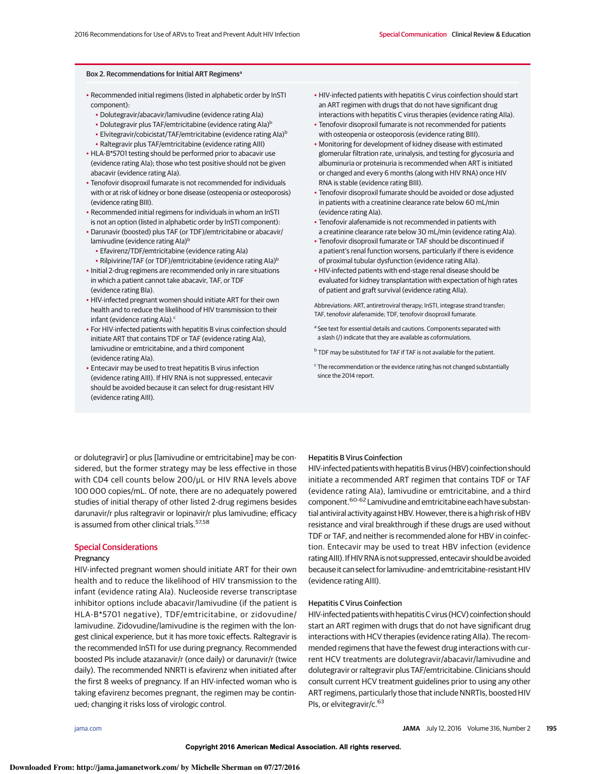## Box 2. Recommendations for Initial ART Regimens<sup>a</sup>

- Recommended initial regimens (listed in alphabetic order by InSTI component):
	- Dolutegravir/abacavir/lamivudine (evidence rating AIa)
	- Dolutegravir plus TAF/emtricitabine (evidence rating Ala)<sup>b</sup>
	- Elvitegravir/cobicistat/TAF/emtricitabine (evidence rating Ala)<sup>b</sup> • Raltegravir plus TAF/emtricitabine (evidence rating AIII)
- HLA-B\*5701 testing should be performed prior to abacavir use (evidence rating AIa); those who test positive should not be given abacavir (evidence rating AIa).
- Tenofovir disoproxil fumarate is not recommended for individuals with or at risk of kidney or bone disease (osteopenia or osteoporosis) (evidence rating BIII).
- Recommended initial regimens for individuals in whom an InSTI is not an option (listed in alphabetic order by InSTI component):
- Darunavir (boosted) plus TAF (or TDF)/emtricitabine or abacavir/ lamivudine (evidence rating AIa)<sup>b</sup>
- Efavirenz/TDF/emtricitabine (evidence rating AIa)
- Rilpivirine/TAF (or TDF)/emtricitabine (evidence rating Ala)<sup>b</sup> • Initial 2-drug regimens are recommended only in rare situations in which a patient cannot take abacavir, TAF, or TDF (evidence rating BIa).
- HIV-infected pregnant women should initiate ART for their own health and to reduce the likelihood of HIV transmission to their infant (evidence rating Ala). $c$
- For HIV-infected patients with hepatitis B virus coinfection should initiate ART that contains TDF or TAF (evidence rating AIa), lamivudine or emtricitabine, and a third component (evidence rating AIa).
- Entecavir may be used to treat hepatitis B virus infection (evidence rating AIII). If HIV RNA is not suppressed, entecavir should be avoided because it can select for drug-resistant HIV (evidence rating AIII).
- HIV-infected patients with hepatitis C virus coinfection should start an ART regimen with drugs that do not have significant drug interactions with hepatitis C virus therapies (evidence rating AIIa).
- Tenofovir disoproxil fumarate is not recommended for patients with osteopenia or osteoporosis (evidence rating BIII).
- Monitoring for development of kidney disease with estimated glomerular filtration rate, urinalysis, and testing for glycosuria and albuminuria or proteinuria is recommended when ART is initiated or changed and every 6 months (along with HIV RNA) once HIV RNA is stable (evidence rating BIII).
- Tenofovir disoproxil fumarate should be avoided or dose adjusted in patients with a creatinine clearance rate below 60 mL/min (evidence rating AIa).
- Tenofovir alafenamide is not recommended in patients with a creatinine clearance rate below 30 mL/min (evidence rating AIa).
- Tenofovir disoproxil fumarate or TAF should be discontinued if a patient's renal function worsens, particularly if there is evidence of proximal tubular dysfunction (evidence rating AIIa).
- HIV-infected patients with end-stage renal disease should be evaluated for kidney transplantation with expectation of high rates of patient and graft survival (evidence rating AIIa).

Abbreviations: ART, antiretroviral therapy; InSTI, integrase strand transfer; TAF, tenofovir alafenamide; TDF, tenofovir disoproxil fumarate.

- <sup>a</sup> See text for essential details and cautions. Components separated with a slash (/) indicate that they are available as coformulations.
- <sup>b</sup> TDF may be substituted for TAF if TAF is not available for the patient.
- <sup>c</sup> The recommendation or the evidence rating has not changed substantially since the 2014 report.

or dolutegravir] or plus [lamivudine or emtricitabine] may be considered, but the former strategy may be less effective in those with CD4 cell counts below 200/µL or HIV RNA levels above 100 000 copies/mL. Of note, there are no adequately powered studies of initial therapy of other listed 2-drug regimens besides darunavir/r plus raltegravir or lopinavir/r plus lamivudine; efficacy is assumed from other clinical trials.<sup>57,58</sup>

## Special Considerations

#### Pregnancy

HIV-infected pregnant women should initiate ART for their own health and to reduce the likelihood of HIV transmission to the infant (evidence rating AIa). Nucleoside reverse transcriptase inhibitor options include abacavir/lamivudine (if the patient is HLA-B\*5701 negative), TDF/emtricitabine, or zidovudine/ lamivudine. Zidovudine/lamivudine is the regimen with the longest clinical experience, but it has more toxic effects. Raltegravir is the recommended InSTI for use during pregnancy. Recommended boosted PIs include atazanavir/r (once daily) or darunavir/r (twice daily). The recommended NNRTI is efavirenz when initiated after the first 8 weeks of pregnancy. If an HIV-infected woman who is taking efavirenz becomes pregnant, the regimen may be continued; changing it risks loss of virologic control.

## Hepatitis B Virus Coinfection

HIV-infected patients with hepatitis B virus (HBV) coinfection should initiate a recommended ART regimen that contains TDF or TAF (evidence rating AIa), lamivudine or emtricitabine, and a third component.60-62 Lamivudine and emtricitabine each have substantial antiviral activity against HBV. However, there is a high risk of HBV resistance and viral breakthrough if these drugs are used without TDF or TAF, and neither is recommended alone for HBV in coinfection. Entecavir may be used to treat HBV infection (evidence rating AIII). If HIV RNA is not suppressed, entecavir should be avoided because it can select for lamivudine- and emtricitabine-resistant HIV (evidence rating AIII).

#### Hepatitis C Virus Coinfection

HIV-infected patients with hepatitis C virus (HCV) coinfection should start an ART regimen with drugs that do not have significant drug interactions with HCV therapies (evidence rating AIIa). The recommended regimens that have the fewest drug interactions with current HCV treatments are dolutegravir/abacavir/lamivudine and dolutegravir or raltegravir plus TAF/emtricitabine. Clinicians should consult current HCV treatment guidelines prior to using any other ART regimens, particularly those that include NNRTIs, boosted HIV PIs, or elvitegravir/c.<sup>63</sup>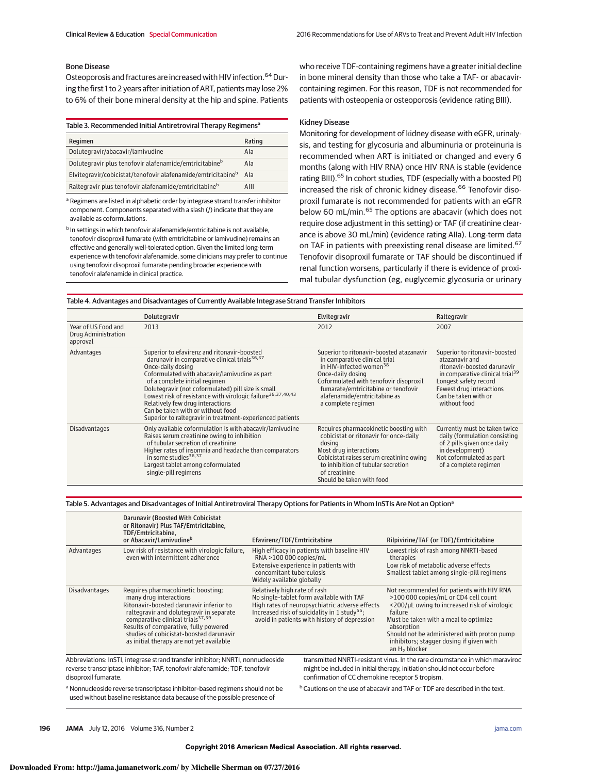## Bone Disease

Osteoporosis and fractures are increased with HIV infection. <sup>64</sup> During the first 1 to 2 years after initiation of ART, patients may lose 2% to 6% of their bone mineral density at the hip and spine. Patients

| Table 3. Recommended Initial Antiretroviral Therapy Regimens <sup>a</sup> |        |  |
|---------------------------------------------------------------------------|--------|--|
| Regimen                                                                   | Rating |  |
| Dolutegravir/abacavir/lamivudine                                          | Ala    |  |
| Dolutegravir plus tenofovir alafenamide/emtricitabine <sup>b</sup>        | Ala    |  |
| Elvitegravir/cobicistat/tenofovir alafenamide/emtricitabine <sup>b</sup>  | Ala    |  |
| Raltegravir plus tenofovir alafenamide/emtricitabine <sup>b</sup>         | AIII   |  |

<sup>a</sup> Regimens are listed in alphabetic order by integrase strand transfer inhibitor component. Components separated with a slash (/) indicate that they are available as coformulations.

<sup>b</sup> In settings in which tenofovir alafenamide/emtricitabine is not available, tenofovir disoproxil fumarate (with emtricitabine or lamivudine) remains an effective and generally well-tolerated option. Given the limited long-term experience with tenofovir alafenamide, some clinicians may prefer to continue using tenofovir disoproxil fumarate pending broader experience with tenofovir alafenamide in clinical practice.

who receive TDF-containing regimens have a greater initial decline in bone mineral density than those who take a TAF- or abacavircontaining regimen. For this reason, TDF is not recommended for patients with osteopenia or osteoporosis (evidence rating BIII).

## Kidney Disease

Monitoring for development of kidney disease with eGFR, urinalysis, and testing for glycosuria and albuminuria or proteinuria is recommended when ART is initiated or changed and every 6 months (along with HIV RNA) once HIV RNA is stable (evidence rating BIII).<sup>65</sup> In cohort studies, TDF (especially with a boosted PI) increased the risk of chronic kidney disease.<sup>66</sup> Tenofovir disoproxil fumarate is not recommended for patients with an eGFR below 60 mL/min.<sup>65</sup> The options are abacavir (which does not require dose adjustment in this setting) or TAF (if creatinine clearance is above 30 mL/min) (evidence rating AIIa). Long-term data on TAF in patients with preexisting renal disease are limited.<sup>67</sup> Tenofovir disoproxil fumarate or TAF should be discontinued if renal function worsens, particularly if there is evidence of proximal tubular dysfunction (eg, euglycemic glycosuria or urinary

#### Table 4. Advantages and Disadvantages of Currently Available Integrase Strand Transfer Inhibitors

|                                                        | Dolutegravir                                                                                                                                                                                                                                                                                                                                                                                                                                                                           | Elvitegravir                                                                                                                                                                                                                                                                 | Raltegravir                                                                                                                                                                                                                |
|--------------------------------------------------------|----------------------------------------------------------------------------------------------------------------------------------------------------------------------------------------------------------------------------------------------------------------------------------------------------------------------------------------------------------------------------------------------------------------------------------------------------------------------------------------|------------------------------------------------------------------------------------------------------------------------------------------------------------------------------------------------------------------------------------------------------------------------------|----------------------------------------------------------------------------------------------------------------------------------------------------------------------------------------------------------------------------|
| Year of US Food and<br>Drug Administration<br>approval | 2013                                                                                                                                                                                                                                                                                                                                                                                                                                                                                   | 2012                                                                                                                                                                                                                                                                         | 2007                                                                                                                                                                                                                       |
| Advantages                                             | Superior to efavirenz and ritonavir-boosted<br>darunavir in comparative clinical trials <sup>36,37</sup><br>Once-daily dosing<br>Coformulated with abacavir/lamivudine as part<br>of a complete initial regimen<br>Dolutegravir (not coformulated) pill size is small<br>Lowest risk of resistance with virologic failure <sup>36,37,40,43</sup><br>Relatively few drug interactions<br>Can be taken with or without food<br>Superior to raltegravir in treatment-experienced patients | Superior to ritonavir-boosted atazanavir<br>in comparative clinical trial<br>in HIV-infected women <sup>38</sup><br>Once-daily dosing<br>Coformulated with tenofovir disoproxil<br>fumarate/emtricitabine or tenofovir<br>alafenamide/emtricitabine as<br>a complete regimen | Superior to ritonavir-boosted<br>atazanavir and<br>ritonavir-boosted darunavir<br>in comparative clinical trial <sup>39</sup><br>Longest safety record<br>Fewest drug interactions<br>Can be taken with or<br>without food |
| <b>Disadvantages</b>                                   | Only available coformulation is with abacavir/lamivudine<br>Raises serum creatinine owing to inhibition<br>of tubular secretion of creatinine<br>Higher rates of insomnia and headache than comparators<br>in some studies <sup>36,37</sup><br>Largest tablet among coformulated<br>single-pill regimens                                                                                                                                                                               | Requires pharmacokinetic boosting with<br>cobicistat or ritonavir for once-daily<br>dosing<br>Most drug interactions<br>Cobicistat raises serum creatinine owing<br>to inhibition of tubular secretion<br>of creatinine<br>Should be taken with food                         | Currently must be taken twice<br>daily (formulation consisting<br>of 2 pills given once daily<br>in development)<br>Not coformulated as part<br>of a complete regimen                                                      |

Table 5. Advantages and Disadvantages of Initial Antiretroviral Therapy Options for Patients in Whom InSTIs Are Not an Option<sup>a</sup>

|                      | Darunavir (Boosted With Cobicistat<br>or Ritonavir) Plus TAF/Emtricitabine,<br>TDF/Emtricitabine,<br>or Abacavir/Lamivudineb                                                                                                                                                                                                        | Efavirenz/TDF/Emtricitabine                                                                                                                                                                                                            | Rilpivirine/TAF (or TDF)/Emtricitabine                                                                                                                                                                                                                                                                             |
|----------------------|-------------------------------------------------------------------------------------------------------------------------------------------------------------------------------------------------------------------------------------------------------------------------------------------------------------------------------------|----------------------------------------------------------------------------------------------------------------------------------------------------------------------------------------------------------------------------------------|--------------------------------------------------------------------------------------------------------------------------------------------------------------------------------------------------------------------------------------------------------------------------------------------------------------------|
| Advantages           | Low risk of resistance with virologic failure,<br>even with intermittent adherence                                                                                                                                                                                                                                                  | High efficacy in patients with baseline HIV<br>RNA >100 000 copies/mL<br>Extensive experience in patients with<br>concomitant tuberculosis<br>Widely available globally                                                                | Lowest risk of rash among NNRTI-based<br>therapies<br>Low risk of metabolic adverse effects<br>Smallest tablet among single-pill regimens                                                                                                                                                                          |
| <b>Disadvantages</b> | Requires pharmacokinetic boosting;<br>many drug interactions<br>Ritonavir-boosted darunavir inferior to<br>raltegravir and dolutegravir in separate<br>comparative clinical trials <sup>37,39</sup><br>Results of comparative, fully powered<br>studies of cobicistat-boosted darunavir<br>as initial therapy are not yet available | Relatively high rate of rash<br>No single-tablet form available with TAF<br>High rates of neuropsychiatric adverse effects<br>Increased risk of suicidality in 1 study <sup>55</sup> :<br>avoid in patients with history of depression | Not recommended for patients with HIV RNA<br>>100 000 copies/mL or CD4 cell count<br><200/µL owing to increased risk of virologic<br>failure<br>Must be taken with a meal to optimize<br>absorption<br>Should not be administered with proton pump<br>inhibitors; stagger dosing if given with<br>an $H_2$ blocker |
| disoproxil fumarate. | Abbreviations: InSTI, integrase strand transfer inhibitor; NNRTI, nonnucleoside<br>reverse transcriptase inhibitor; TAF, tenofovir alafenamide; TDF, tenofovir                                                                                                                                                                      | confirmation of CC chemokine receptor 5 tropism.                                                                                                                                                                                       | transmitted NNRTI-resistant virus. In the rare circumstance in which maravirod<br>might be included in initial therapy, initiation should not occur before                                                                                                                                                         |
|                      | a Nonnucleoside reverse transcriptase inhibitor-based regimens should not be<br>used without baseline resistance data because of the possible presence of                                                                                                                                                                           |                                                                                                                                                                                                                                        | <sup>b</sup> Cautions on the use of abacavir and TAF or TDF are described in the text.                                                                                                                                                                                                                             |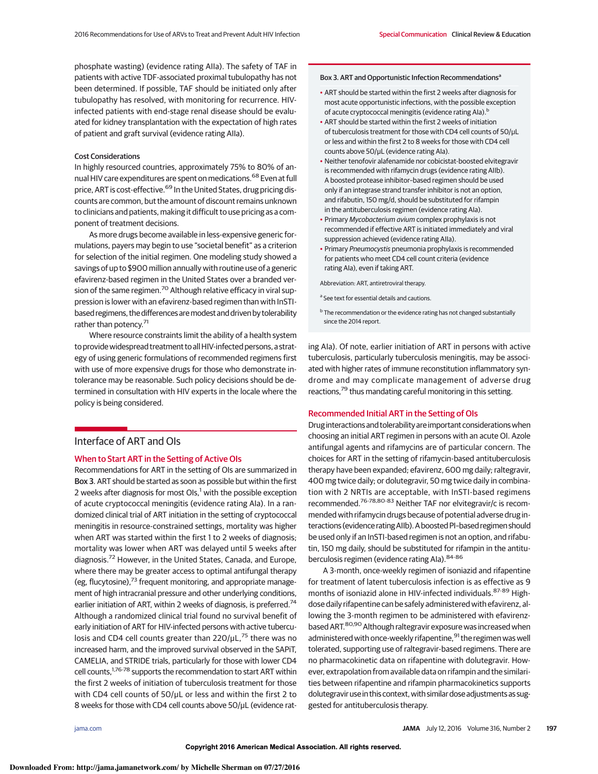phosphate wasting) (evidence rating AIIa). The safety of TAF in patients with active TDF-associated proximal tubulopathy has not been determined. If possible, TAF should be initiated only after tubulopathy has resolved, with monitoring for recurrence. HIVinfected patients with end-stage renal disease should be evaluated for kidney transplantation with the expectation of high rates of patient and graft survival (evidence rating AIIa).

#### Cost Considerations

In highly resourced countries, approximately 75% to 80% of annual HIV care expenditures are spent on medications.<sup>68</sup> Even at full price, ART is cost-effective.<sup>69</sup> In the United States, drug pricing discounts are common, but the amount of discount remains unknown to clinicians and patients, making it difficult to use pricing as a component of treatment decisions.

As more drugs become available in less-expensive generic formulations, payers may begin to use "societal benefit" as a criterion for selection of the initial regimen. One modeling study showed a savings of up to \$900 million annually with routine use of a generic efavirenz-based regimen in the United States over a branded version of the same regimen.<sup>70</sup> Although relative efficacy in viral suppression is lower with an efavirenz-based regimen than with InSTIbased regimens, the differences are modest and driven by tolerability rather than potency.<sup>71</sup>

Where resource constraints limit the ability of a health system to provide widespread treatment to all HIV-infected persons, a strategy of using generic formulations of recommended regimens first with use of more expensive drugs for those who demonstrate intolerance may be reasonable. Such policy decisions should be determined in consultation with HIV experts in the locale where the policy is being considered.

# Interface of ART and OIs

#### When to Start ART in the Setting of Active OIs

Recommendations for ART in the setting of OIs are summarized in Box 3. ART should be started as soon as possible but within the first 2 weeks after diagnosis for most  $OIs<sup>1</sup>$  with the possible exception of acute cryptococcal meningitis (evidence rating AIa). In a randomized clinical trial of ART initiation in the setting of cryptococcal meningitis in resource-constrained settings, mortality was higher when ART was started within the first 1 to 2 weeks of diagnosis; mortality was lower when ART was delayed until 5 weeks after diagnosis.<sup>72</sup> However, in the United States, Canada, and Europe, where there may be greater access to optimal antifungal therapy (eg, flucytosine), $^{73}$  frequent monitoring, and appropriate management of high intracranial pressure and other underlying conditions, earlier initiation of ART, within 2 weeks of diagnosis, is preferred.<sup>74</sup> Although a randomized clinical trial found no survival benefit of early initiation of ART for HIV-infected persons with active tuberculosis and CD4 cell counts greater than  $220/\mu L$ ,<sup>75</sup> there was no increased harm, and the improved survival observed in the SAPiT, CAMELIA, and STRIDE trials, particularly for those with lower CD4 cell counts,<sup>1,76-78</sup> supports the recommendation to start ART within the first 2 weeks of initiation of tuberculosis treatment for those with CD4 cell counts of 50/µL or less and within the first 2 to 8 weeks for those with CD4 cell counts above 50/µL (evidence rat-

#### Box 3. ART and Opportunistic Infection Recommendations<sup>a</sup>

- ART should be started within the first 2 weeks after diagnosis for most acute opportunistic infections, with the possible exception of acute cryptococcal meningitis (evidence rating AIa).<sup>b</sup>
- ART should be started within the first 2 weeks of initiation of tuberculosis treatment for those with CD4 cell counts of 50/µL or less and within the first 2 to 8 weeks for those with CD4 cell counts above 50/µL (evidence rating AIa).
- Neither tenofovir alafenamide nor cobicistat-boosted elvitegravir is recommended with rifamycin drugs (evidence rating AIIb). A boosted protease inhibitor–based regimen should be used only if an integrase strand transfer inhibitor is not an option, and rifabutin, 150 mg/d, should be substituted for rifampin in the antituberculosis regimen (evidence rating AIa).
- Primary *Mycobacterium avium* complex prophylaxis is not recommended if effective ART is initiated immediately and viral suppression achieved (evidence rating AIIa).
- Primary *Pneumocystis* pneumonia prophylaxis is recommended for patients who meet CD4 cell count criteria (evidence rating AIa), even if taking ART.

Abbreviation: ART, antiretroviral therapy.

- <sup>a</sup> See text for essential details and cautions.
- <sup>b</sup> The recommendation or the evidence rating has not changed substantially since the 2014 report.

ing AIa). Of note, earlier initiation of ART in persons with active tuberculosis, particularly tuberculosis meningitis, may be associated with higher rates of immune reconstitution inflammatory syndrome and may complicate management of adverse drug reactions,<sup>79</sup> thus mandating careful monitoring in this setting.

## Recommended Initial ART in the Setting of OIs

Drug interactions and tolerability are important considerationswhen choosing an initial ART regimen in persons with an acute OI. Azole antifungal agents and rifamycins are of particular concern. The choices for ART in the setting of rifamycin-based antituberculosis therapy have been expanded; efavirenz, 600 mg daily; raltegravir, 400 mg twice daily; or dolutegravir, 50 mg twice daily in combination with 2 NRTIs are acceptable, with InSTI-based regimens recommended.<sup>76-78,80-83</sup> Neither TAF nor elvitegravir/c is recommended with rifamycin drugs because of potential adverse drug interactions (evidence ratingAIIb).A boosted PI–based regimen should be used only if an InSTI-based regimen is not an option, and rifabutin, 150 mg daily, should be substituted for rifampin in the antituberculosis regimen (evidence rating AIa). 84-86

A 3-month, once-weekly regimen of isoniazid and rifapentine for treatment of latent tuberculosis infection is as effective as 9 months of isoniazid alone in HIV-infected individuals.<sup>87-89</sup> Highdose daily rifapentine can be safely administered with efavirenz, allowing the 3-month regimen to be administered with efavirenzbased ART.<sup>80,90</sup> Although raltegravir exposure was increased when administered with once-weekly rifapentine, <sup>91</sup> the regimen was well tolerated, supporting use of raltegravir-based regimens. There are no pharmacokinetic data on rifapentine with dolutegravir. However, extrapolation from available data on rifampin and the similarities between rifapentine and rifampin pharmacokinetics supports dolutegravir use in this context, with similar dose adjustments as suggested for antituberculosis therapy.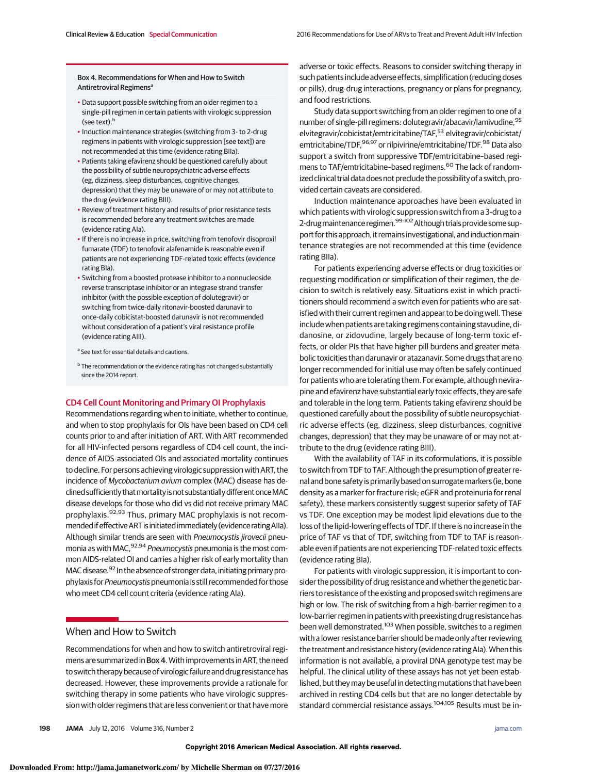Box 4. Recommendations for When and How to Switch Antiretroviral Regimens<sup>a</sup>

- Data support possible switching from an older regimen to a single-pill regimen in certain patients with virologic suppression  $(sep$  text) $<sup>b</sup>$ </sup>
- Induction maintenance strategies (switching from 3- to 2-drug regimens in patients with virologic suppression [see text]) are not recommended at this time (evidence rating BIIa).
- Patients taking efavirenz should be questioned carefully about the possibility of subtle neuropsychiatric adverse effects (eg, dizziness, sleep disturbances, cognitive changes, depression) that they may be unaware of or may not attribute to the drug (evidence rating BIII).
- Review of treatment history and results of prior resistance tests is recommended before any treatment switches are made (evidence rating AIa).
- If there is no increase in price, switching from tenofovir disoproxil fumarate (TDF) to tenofovir alafenamide is reasonable even if patients are not experiencing TDF-related toxic effects (evidence rating BIa).
- Switching from a boosted protease inhibitor to a nonnucleoside reverse transcriptase inhibitor or an integrase strand transfer inhibitor (with the possible exception of dolutegravir) or switching from twice-daily ritonavir-boosted darunavir to once-daily cobicistat-boosted darunavir is not recommended without consideration of a patient's viral resistance profile (evidence rating AIII).
- <sup>a</sup> See text for essential details and cautions.
- **b** The recommendation or the evidence rating has not changed substantially since the 2014 report.

## CD4 Cell Count Monitoring and Primary OI Prophylaxis

Recommendations regarding when to initiate, whether to continue, and when to stop prophylaxis for OIs have been based on CD4 cell counts prior to and after initiation of ART. With ART recommended for all HIV-infected persons regardless of CD4 cell count, the incidence of AIDS-associated OIs and associated mortality continues to decline. For persons achieving virologic suppression with ART, the incidence of *Mycobacterium avium* complex (MAC) disease has declined sufficiently that mortality is not substantially different once MAC disease develops for those who did vs did not receive primary MAC prophylaxis.<sup>92,93</sup> Thus, primary MAC prophylaxis is not recommended if effective ART is initiated immediately (evidence rating Alla). Although similar trends are seen with *Pneumocystis jirovecii* pneumonia as with MAC,92,94 *Pneumocystis* pneumonia is the most common AIDS-related OI and carries a higher risk of early mortality than MAC disease.<sup>92</sup> In the absence of stronger data, initiating primary prophylaxis for*Pneumocystis*pneumonia is still recommended for those who meet CD4 cell count criteria (evidence rating AIa).

# When and How to Switch

Recommendations for when and how to switch antiretroviral regimens are summarized in Box 4. With improvements in ART, the need to switch therapy because of virologic failure and drug resistance has decreased. However, these improvements provide a rationale for switching therapy in some patients who have virologic suppression with older regimens that are less convenient or that have more adverse or toxic effects. Reasons to consider switching therapy in such patients include adverse effects, simplification (reducing doses or pills), drug-drug interactions, pregnancy or plans for pregnancy, and food restrictions.

Study data support switching from an older regimen to one of a number of single-pill regimens: dolutegravir/abacavir/lamivudine, 95 elvitegravir/cobicistat/emtricitabine/TAF,<sup>53</sup> elvitegravir/cobicistat/ emtricitabine/TDF, <sup>96,97</sup> or rilpivirine/emtricitabine/TDF. <sup>98</sup> Data also support a switch from suppressive TDF/emtricitabine–based regimens to TAF/emtricitabine-based regimens.<sup>60</sup> The lack of randomized clinical trial data does not preclude the possibility of a switch, provided certain caveats are considered.

Induction maintenance approaches have been evaluated in which patients with virologic suppression switch from a 3-drug to a 2-drug maintenance regimen.<sup>99-102</sup> Although trials provide some support for this approach, it remains investigational, and inductionmaintenance strategies are not recommended at this time (evidence rating BIIa).

For patients experiencing adverse effects or drug toxicities or requesting modification or simplification of their regimen, the decision to switch is relatively easy. Situations exist in which practitioners should recommend a switch even for patients who are satisfied with their current regimen and appear to be doing well. These include when patients are taking regimens containing stavudine, didanosine, or zidovudine, largely because of long-term toxic effects, or older PIs that have higher pill burdens and greater metabolic toxicities than darunavir or atazanavir. Some drugs that are no longer recommended for initial use may often be safely continued for patients who are tolerating them. For example, although nevirapine and efavirenz have substantial early toxic effects, they are safe and tolerable in the long term. Patients taking efavirenz should be questioned carefully about the possibility of subtle neuropsychiatric adverse effects (eg, dizziness, sleep disturbances, cognitive changes, depression) that they may be unaware of or may not attribute to the drug (evidence rating BIII).

With the availability of TAF in its coformulations, it is possible to switch from TDF to TAF. Although the presumption of greater renal and bone safety is primarily based on surrogatemarkers (ie, bone density as a marker for fracture risk; eGFR and proteinuria for renal safety), these markers consistently suggest superior safety of TAF vs TDF. One exception may be modest lipid elevations due to the loss of the lipid-lowering effects of TDF. If there is no increase in the price of TAF vs that of TDF, switching from TDF to TAF is reasonable even if patients are not experiencing TDF-related toxic effects (evidence rating BIa).

For patients with virologic suppression, it is important to consider the possibility of drug resistance and whether the genetic barriers to resistance of the existing and proposed switch regimens are high or low. The risk of switching from a high-barrier regimen to a low-barrier regimen in patients with preexisting drug resistance has been well demonstrated.<sup>103</sup> When possible, switches to a regimen with a lower resistance barrier should be made only after reviewing the treatment and resistance history (evidence ratingAIa).When this information is not available, a proviral DNA genotype test may be helpful. The clinical utility of these assays has not yet been established, but they may be useful in detecting mutations that have been archived in resting CD4 cells but that are no longer detectable by standard commercial resistance assays.<sup>104,105</sup> Results must be in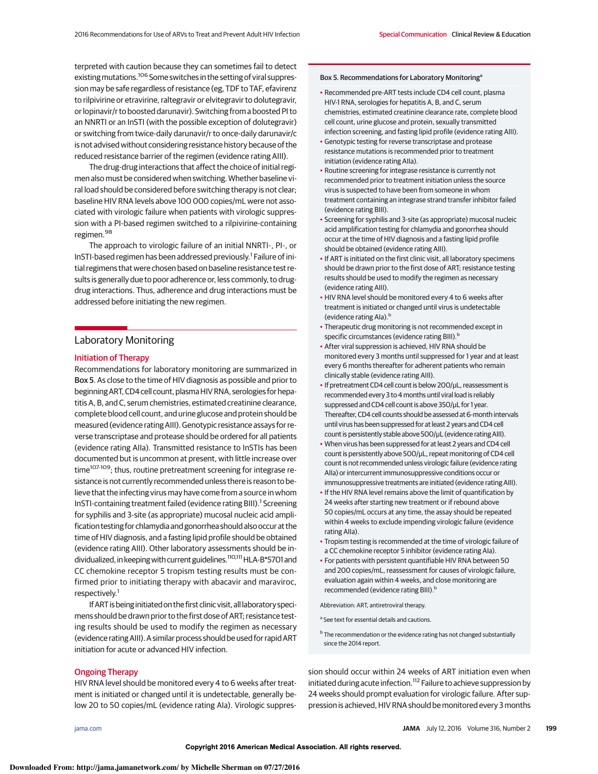terpreted with caution because they can sometimes fail to detect existing mutations.106 Some switches in the setting of viral suppression may be safe regardless of resistance (eg, TDF to TAF, efavirenz to rilpivirine or etravirine, raltegravir or elvitegravir to dolutegravir, or lopinavir/r to boosted darunavir). Switching from a boosted PI to an NNRTI or an InSTI (with the possible exception of dolutegravir) or switching from twice-daily darunavir/r to once-daily darunavir/c is not advised without considering resistance history because of the reduced resistance barrier of the regimen (evidence rating AIII).

The drug-drug interactions that affect the choice of initial regimen also must be considered when switching.Whether baseline viral load should be considered before switching therapy is not clear; baseline HIV RNA levels above 100 000 copies/mL were not associated with virologic failure when patients with virologic suppression with a PI-based regimen switched to a rilpivirine-containing regimen.<sup>98</sup>

The approach to virologic failure of an initial NNRTI-, PI-, or InSTI-based regimen has been addressed previously.<sup>1</sup> Failure of initial regimens that were chosen based on baseline resistance test results is generally due to poor adherence or, less commonly, to drugdrug interactions. Thus, adherence and drug interactions must be addressed before initiating the new regimen.

# Laboratory Monitoring

# Initiation of Therapy

Recommendations for laboratory monitoring are summarized in Box 5. As close to the time of HIV diagnosis as possible and prior to beginning ART, CD4 cell count, plasma HIV RNA, serologies for hepatitis A, B, and C, serum chemistries, estimated creatinine clearance, complete blood cell count, and urine glucose and protein should be measured (evidence rating AIII). Genotypic resistance assays for reverse transcriptase and protease should be ordered for all patients (evidence rating AIIa). Transmitted resistance to InSTIs has been documented but is uncommon at present, with little increase over time<sup>107-109</sup>; thus, routine pretreatment screening for integrase resistance is not currently recommended unless there is reason to believe that the infecting virus may have come from a source in whom InSTI-containing treatment failed (evidence rating BIII).<sup>1</sup> Screening for syphilis and 3-site (as appropriate) mucosal nucleic acid amplification testing for chlamydia and gonorrhea should also occur at the time of HIV diagnosis, and a fasting lipid profile should be obtained (evidence rating AIII). Other laboratory assessments should be individualized, in keeping with current guidelines.<sup>110,111</sup> HLA-B\*5701 and CC chemokine receptor 5 tropism testing results must be confirmed prior to initiating therapy with abacavir and maraviroc, respectively.<sup>1</sup>

IfART is being initiated on the first clinicvisit, all laboratory specimens should be drawn prior to the first dose of ART; resistance testing results should be used to modify the regimen as necessary (evidence rating AIII). A similar process should be used for rapid ART initiation for acute or advanced HIV infection.

#### Box 5. Recommendations for Laboratory Monitoring<sup>a</sup>

- Recommended pre-ART tests include CD4 cell count, plasma HIV-1 RNA, serologies for hepatitis A, B, and C, serum chemistries, estimated creatinine clearance rate, complete blood cell count, urine glucose and protein, sexually transmitted infection screening, and fasting lipid profile (evidence rating AIII).
- Genotypic testing for reverse transcriptase and protease resistance mutations is recommended prior to treatment initiation (evidence rating AIIa).
- Routine screening for integrase resistance is currently not recommended prior to treatment initiation unless the source virus is suspected to have been from someone in whom treatment containing an integrase strand transfer inhibitor failed (evidence rating BIII).
- Screening for syphilis and 3-site (as appropriate) mucosal nucleic acid amplification testing for chlamydia and gonorrhea should occur at the time of HIV diagnosis and a fasting lipid profile should be obtained (evidence rating AIII).
- If ART is initiated on the first clinic visit, all laboratory specimens should be drawn prior to the first dose of ART; resistance testing results should be used to modify the regimen as necessary (evidence rating AIII).
- HIV RNA level should be monitored every 4 to 6 weeks after treatment is initiated or changed until virus is undetectable (evidence rating AIa). $<sup>b</sup>$ </sup>
- Therapeutic drug monitoring is not recommended except in specific circumstances (evidence rating BIII).<sup>b</sup>
- After viral suppression is achieved, HIV RNA should be monitored every 3 months until suppressed for 1 year and at least every 6 months thereafter for adherent patients who remain clinically stable (evidence rating AIII).
- If pretreatment CD4 cell count is below 200/µL, reassessment is recommended every 3 to 4 months until viral load is reliably suppressed and CD4 cell count is above 350/µL for 1 year. Thereafter, CD4 cell counts should be assessed at 6-month intervals until virus has been suppressed for at least 2 years and CD4 cell count is persistently stable above 500/µL (evidence rating AIII).
- When virus has been suppressed for at least 2 years and CD4 cell count is persistently above 500/µL, repeat monitoring of CD4 cell count is not recommended unless virologic failure (evidence rating AIIa) or intercurrent immunosuppressive conditions occur or immunosuppressive treatments are initiated (evidence rating AIII).
- If the HIV RNA level remains above the limit of quantification by 24 weeks after starting new treatment or if rebound above 50 copies/mL occurs at any time, the assay should be repeated within 4 weeks to exclude impending virologic failure (evidence rating AIIa).
- Tropism testing is recommended at the time of virologic failure of a CC chemokine receptor 5 inhibitor (evidence rating AIa).
- For patients with persistent quantifiable HIV RNA between 50 and 200 copies/mL, reassessment for causes of virologic failure, evaluation again within 4 weeks, and close monitoring are recommended (evidence rating BIII).<sup>b</sup>

Abbreviation: ART, antiretroviral therapy.

<sup>a</sup> See text for essential details and cautions.

<sup>b</sup> The recommendation or the evidence rating has not changed substantially since the 2014 report.

#### Ongoing Therapy

HIV RNA level should be monitored every 4 to 6 weeks after treatment is initiated or changed until it is undetectable, generally below 20 to 50 copies/mL (evidence rating AIa). Virologic suppression should occur within 24 weeks of ART initiation even when initiated during acute infection.<sup>112</sup> Failure to achieve suppression by 24 weeks should prompt evaluation for virologic failure. After suppression is achieved, HIV RNA should be monitored every 3 months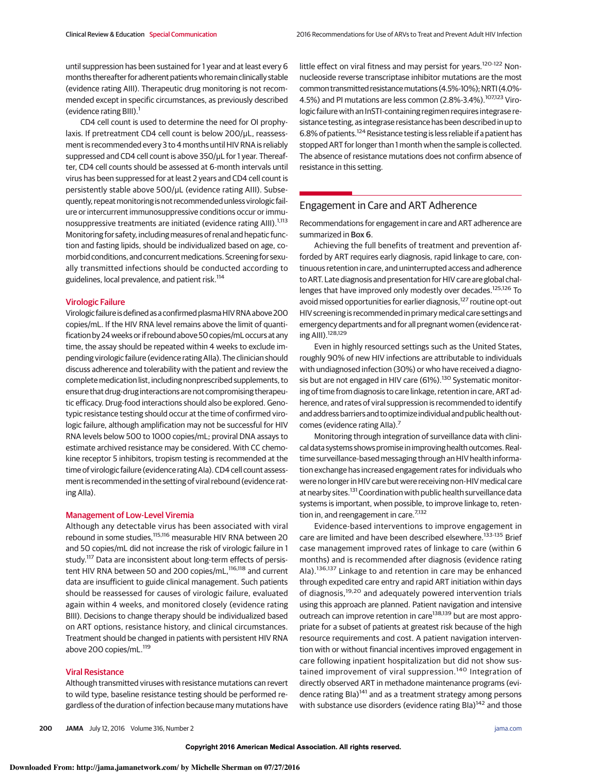until suppression has been sustained for 1 year and at least every 6 months thereafter for adherent patients who remain clinically stable (evidence rating AIII). Therapeutic drug monitoring is not recommended except in specific circumstances, as previously described (evidence rating BIII). $<sup>1</sup>$ </sup>

CD4 cell count is used to determine the need for OI prophylaxis. If pretreatment CD4 cell count is below 200/µL, reassessment is recommended every 3 to 4 months until HIV RNA is reliably suppressed and CD4 cell count is above 350/µL for 1 year. Thereafter, CD4 cell counts should be assessed at 6-month intervals until virus has been suppressed for at least 2 years and CD4 cell count is persistently stable above 500/µL (evidence rating AIII). Subsequently, repeat monitoring is not recommended unless virologic failure or intercurrent immunosuppressive conditions occur or immunosuppressive treatments are initiated (evidence rating AIII).<sup>1,113</sup> Monitoring for safety, including measures of renal and hepatic function and fasting lipids, should be individualized based on age, comorbid conditions, and concurrent medications. Screening for sexually transmitted infections should be conducted according to guidelines, local prevalence, and patient risk.<sup>114</sup>

## Virologic Failure

Virologic failure is defined as a confirmed plasma HIV RNA above 200 copies/mL. If the HIV RNA level remains above the limit of quantification by 24 weeks or if rebound above 50 copies/mL occurs at any time, the assay should be repeated within 4 weeks to exclude impending virologic failure (evidence rating AIIa). The clinician should discuss adherence and tolerability with the patient and review the complete medication list, including nonprescribed supplements, to ensure that drug-drug interactions are not compromising therapeutic efficacy. Drug-food interactions should also be explored. Genotypic resistance testing should occur at the time of confirmed virologic failure, although amplification may not be successful for HIV RNA levels below 500 to 1000 copies/mL; proviral DNA assays to estimate archived resistance may be considered. With CC chemokine receptor 5 inhibitors, tropism testing is recommended at the time of virologic failure (evidence rating AIa). CD4 cell count assessment is recommended in the setting of viral rebound (evidence rating AIIa).

## Management of Low-Level Viremia

Although any detectable virus has been associated with viral rebound in some studies,<sup>115,116</sup> measurable HIV RNA between 20 and 50 copies/mL did not increase the risk of virologic failure in 1 study.<sup>117</sup> Data are inconsistent about long-term effects of persistent HIV RNA between 50 and 200 copies/mL,<sup>116,118</sup> and current data are insufficient to guide clinical management. Such patients should be reassessed for causes of virologic failure, evaluated again within 4 weeks, and monitored closely (evidence rating BIII). Decisions to change therapy should be individualized based on ART options, resistance history, and clinical circumstances. Treatment should be changed in patients with persistent HIV RNA above 200 copies/mL.<sup>119</sup>

# Viral Resistance

Although transmitted viruses with resistance mutations can revert to wild type, baseline resistance testing should be performed regardless of the duration of infection because many mutations have little effect on viral fitness and may persist for years.<sup>120-122</sup> Nonnucleoside reverse transcriptase inhibitor mutations are the most common transmitted resistance mutations (4.5%-10%); NRTI (4.0%-4.5%) and PI mutations are less common (2.8%-3.4%).<sup>107,123</sup> Virologic failure with an InSTI-containing regimen requires integrase resistance testing, as integrase resistance has been described in up to 6.8% of patients.<sup>124</sup> Resistance testing is less reliable if a patient has stopped ART for longer than 1 month when the sample is collected. The absence of resistance mutations does not confirm absence of resistance in this setting.

# Engagement in Care and ART Adherence

Recommendations for engagement in care and ART adherence are summarized in Box 6.

Achieving the full benefits of treatment and prevention afforded by ART requires early diagnosis, rapid linkage to care, continuous retention in care, and uninterrupted access and adherence to ART. Late diagnosis and presentation for HIV care are global challenges that have improved only modestly over decades.<sup>125,126</sup> To avoid missed opportunities for earlier diagnosis,<sup>127</sup> routine opt-out HIV screening is recommended in primary medical care settings and emergency departments and for all pregnant women (evidence rating AIII).128,129

Even in highly resourced settings such as the United States, roughly 90% of new HIV infections are attributable to individuals with undiagnosed infection (30%) or who have received a diagnosis but are not engaged in HIV care (61%).<sup>130</sup> Systematic monitoring of time from diagnosis to care linkage, retention in care, ART adherence, and rates of viral suppression is recommended to identify and address barriers and to optimize individual and public health outcomes (evidence rating AIIa).<sup>7</sup>

Monitoring through integration of surveillance data with clinical data systems shows promise in improving health outcomes. Realtime surveillance-based messaging through an HIV health information exchange has increased engagement rates for individuals who were no longer in HIV care but were receiving non-HIV medical care at nearby sites.<sup>131</sup> Coordination with public health surveillance data systems is important, when possible, to improve linkage to, retention in, and reengagement in care.<sup>7,132</sup>

Evidence-based interventions to improve engagement in care are limited and have been described elsewhere.<sup>133-135</sup> Brief case management improved rates of linkage to care (within 6 months) and is recommended after diagnosis (evidence rating AIa).136,137 Linkage to and retention in care may be enhanced through expedited care entry and rapid ART initiation within days of diagnosis,<sup>19,20</sup> and adequately powered intervention trials using this approach are planned. Patient navigation and intensive outreach can improve retention in care<sup>138,139</sup> but are most appropriate for a subset of patients at greatest risk because of the high resource requirements and cost. A patient navigation intervention with or without financial incentives improved engagement in care following inpatient hospitalization but did not show sustained improvement of viral suppression.<sup>140</sup> Integration of directly observed ART in methadone maintenance programs (evidence rating Bla)<sup>141</sup> and as a treatment strategy among persons with substance use disorders (evidence rating BIa)<sup>142</sup> and those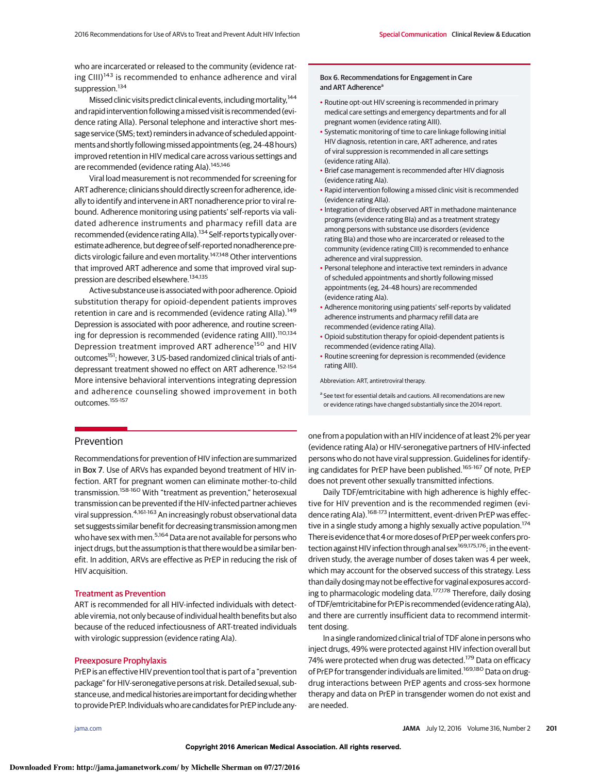who are incarcerated or released to the community (evidence rating CIII)<sup>143</sup> is recommended to enhance adherence and viral suppression.<sup>134</sup>

Missed clinic visits predict clinical events, including mortality, 144 and rapid intervention following amissed visit is recommended (evidence rating AIIa). Personal telephone and interactive short message service (SMS; text) reminders in advance of scheduled appointments and shortly followingmissed appointments (eg, 24-48 hours) improved retention in HIV medical care across various settings and are recommended (evidence rating AIa).<sup>145,146</sup>

Viral load measurement is not recommended for screening for ART adherence; clinicians should directly screen for adherence, ideally to identify and intervene in ART nonadherence prior to viral rebound. Adherence monitoring using patients' self-reports via validated adherence instruments and pharmacy refill data are recommended (evidence rating AIIa).<sup>134</sup> Self-reports typically overestimate adherence, but degree of self-reported nonadherence predicts virologic failure and even mortality.<sup>147,148</sup> Other interventions that improved ART adherence and some that improved viral suppression are described elsewhere.134,135

Active substance use is associated with poor adherence. Opioid substitution therapy for opioid-dependent patients improves retention in care and is recommended (evidence rating AIIa).<sup>149</sup> Depression is associated with poor adherence, and routine screening for depression is recommended (evidence rating AIII).<sup>110,134</sup> Depression treatment improved ART adherence<sup>150</sup> and HIV outcomes<sup>151</sup>; however, 3 US-based randomized clinical trials of antidepressant treatment showed no effect on ART adherence.<sup>152-154</sup> More intensive behavioral interventions integrating depression and adherence counseling showed improvement in both outcomes.155-157

## Box 6. Recommendations for Engagement in Care and ART Adherence<sup>a</sup>

- Routine opt-out HIV screening is recommended in primary medical care settings and emergency departments and for all pregnant women (evidence rating AIII).
- Systematic monitoring of time to care linkage following initial HIV diagnosis, retention in care, ART adherence, and rates of viral suppression is recommended in all care settings (evidence rating AIIa).
- Brief case management is recommended after HIV diagnosis (evidence rating AIa).
- Rapid intervention following a missed clinic visit is recommended (evidence rating AIIa).
- Integration of directly observed ART in methadone maintenance programs (evidence rating BIa) and as a treatment strategy among persons with substance use disorders (evidence rating BIa) and those who are incarcerated or released to the community (evidence rating CIII) is recommended to enhance adherence and viral suppression.
- Personal telephone and interactive text reminders in advance of scheduled appointments and shortly following missed appointments (eg, 24-48 hours) are recommended (evidence rating AIa).
- Adherence monitoring using patients' self-reports by validated adherence instruments and pharmacy refill data are recommended (evidence rating AIIa).
- Opioid substitution therapy for opioid-dependent patients is recommended (evidence rating AIIa).
- Routine screening for depression is recommended (evidence rating AIII).

Abbreviation: ART, antiretroviral therapy.

<sup>a</sup> See text for essential details and cautions. All recomendations are new or evidence ratings have changed substantially since the 2014 report.

# Prevention

Recommendations for prevention of HIV infection are summarized in Box 7. Use of ARVs has expanded beyond treatment of HIV infection. ART for pregnant women can eliminate mother-to-child transmission.<sup>158-160</sup> With "treatment as prevention," heterosexual transmission can be prevented if the HIV-infected partner achieves viral suppression.4,161-163 An increasingly robust observational data set suggests similar benefit for decreasing transmission amongmen who have sex with men.<sup>5,164</sup> Data are not available for persons who inject drugs, but the assumption is that there would be a similar benefit. In addition, ARVs are effective as PrEP in reducing the risk of HIV acquisition.

#### Treatment as Prevention

ART is recommended for all HIV-infected individuals with detectable viremia, not only because of individual health benefits but also because of the reduced infectiousness of ART-treated individuals with virologic suppression (evidence rating AIa).

## Preexposure Prophylaxis

PrEP is an effective HIV prevention tool that is part of a "prevention package" for HIV-seronegative persons at risk. Detailed sexual, substance use, andmedical histories are important for deciding whether to provide PrEP.Individuals who are candidates for PrEP include anyone from a population with an HIV incidence of at least 2% per year (evidence rating AIa) or HIV-seronegative partners of HIV-infected persons who do not have viral suppression. Guidelines for identifying candidates for PrEP have been published.<sup>165-167</sup> Of note, PrEP does not prevent other sexually transmitted infections.

Daily TDF/emtricitabine with high adherence is highly effective for HIV prevention and is the recommended regimen (evidence rating AIa).<sup>168-173</sup> Intermittent, event-driven PrEP was effective in a single study among a highly sexually active population.<sup>174</sup> There is evidence that 4 or more doses of PrEP per week confers protection against HIV infection through anal sex<sup>169,175,176</sup>; in the eventdriven study, the average number of doses taken was 4 per week, which may account for the observed success of this strategy. Less than daily dosing may not be effective for vaginal exposures according to pharmacologic modeling data.<sup>177,178</sup> Therefore, daily dosing of TDF/emtricitabine for PrEP is recommended (evidence ratingAIa), and there are currently insufficient data to recommend intermittent dosing.

In a single randomized clinical trial of TDF alone in persons who inject drugs, 49% were protected against HIV infection overall but 74% were protected when drug was detected.<sup>179</sup> Data on efficacy of PrEP for transgender individuals are limited.<sup>169,180</sup> Data on drugdrug interactions between PrEP agents and cross-sex hormone therapy and data on PrEP in transgender women do not exist and are needed.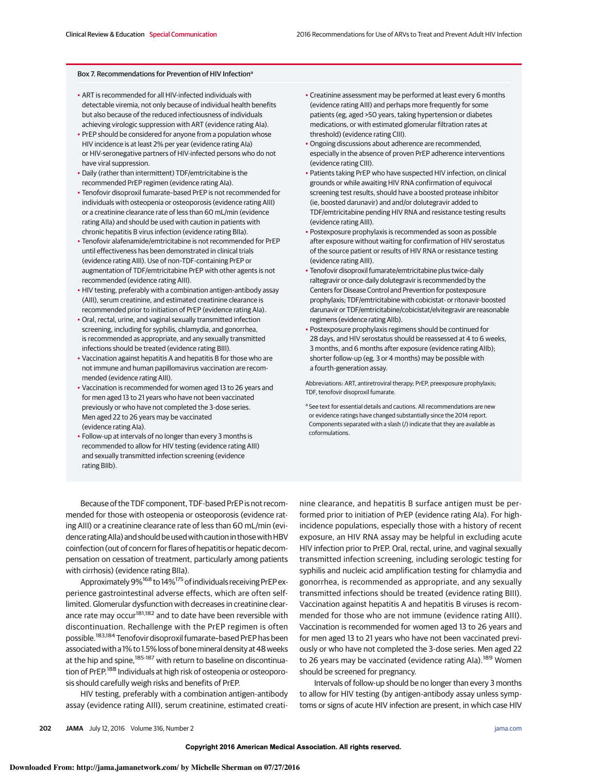## Box 7. Recommendations for Prevention of HIV Infection<sup>a</sup>

- ART is recommended for all HIV-infected individuals with detectable viremia, not only because of individual health benefits but also because of the reduced infectiousness of individuals achieving virologic suppression with ART (evidence rating AIa).
- PrEP should be considered for anyone from a population whose HIV incidence is at least 2% per year (evidence rating AIa) or HIV-seronegative partners of HIV-infected persons who do not have viral suppression.
- Daily (rather than intermittent) TDF/emtricitabine is the recommended PrEP regimen (evidence rating AIa).
- Tenofovir disoproxil fumarate–based PrEP is not recommended for individuals with osteopenia or osteoporosis (evidence rating AIII) or a creatinine clearance rate of less than 60 mL/min (evidence rating AIIa) and should be used with caution in patients with chronic hepatitis B virus infection (evidence rating BIIa).
- Tenofovir alafenamide/emtricitabine is not recommended for PrEP until effectiveness has been demonstrated in clinical trials (evidence rating AIII). Use of non–TDF-containing PrEP or augmentation of TDF/emtricitabine PrEP with other agents is not recommended (evidence rating AIII).
- HIV testing, preferably with a combination antigen-antibody assay (AIII), serum creatinine, and estimated creatinine clearance is recommended prior to initiation of PrEP (evidence rating AIa).
- Oral, rectal, urine, and vaginal sexually transmitted infection screening, including for syphilis, chlamydia, and gonorrhea, is recommended as appropriate, and any sexually transmitted infections should be treated (evidence rating BIII).
- Vaccination against hepatitis A and hepatitis B for those who are not immune and human papillomavirus vaccination are recommended (evidence rating AIII).
- Vaccination is recommended for women aged 13 to 26 years and for men aged 13 to 21 years who have not been vaccinated previously or who have not completed the 3-dose series. Men aged 22 to 26 years may be vaccinated (evidence rating AIa).
- Follow-up at intervals of no longer than every 3 months is recommended to allow for HIV testing (evidence rating AIII) and sexually transmitted infection screening (evidence rating BIIb).
- Because of the TDF component, TDF-based PrEP is not recommended for those with osteopenia or osteoporosis (evidence rating AIII) or a creatinine clearance rate of less than 60 mL/min (evidence rating AIIa) and should be used with caution in those with HBV coinfection (out of concern for flares of hepatitis or hepatic decompensation on cessation of treatment, particularly among patients with cirrhosis) (evidence rating BIIa).

Approximately 9%<sup>168</sup> to 14%<sup>175</sup> of individuals receiving PrEP experience gastrointestinal adverse effects, which are often selflimited. Glomerular dysfunction with decreases in creatinine clearance rate may occur<sup>181,182</sup> and to date have been reversible with discontinuation. Rechallenge with the PrEP regimen is often possible.183,184 Tenofovir disoproxil fumarate–based PrEP has been associatedwith a 1% to 1.5% loss of bonemineral density at 48weeks at the hip and spine,<sup>185-187</sup> with return to baseline on discontinuation of PrEP.<sup>188</sup> Individuals at high risk of osteopenia or osteoporosis should carefully weigh risks and benefits of PrEP.

HIV testing, preferably with a combination antigen-antibody assay (evidence rating AIII), serum creatinine, estimated creati-

- Creatinine assessment may be performed at least every 6 months (evidence rating AIII) and perhaps more frequently for some patients (eg, aged >50 years, taking hypertension or diabetes medications, or with estimated glomerular filtration rates at threshold) (evidence rating CIII).
- Ongoing discussions about adherence are recommended, especially in the absence of proven PrEP adherence interventions (evidence rating CIII).
- Patients taking PrEP who have suspected HIV infection, on clinical grounds or while awaiting HIV RNA confirmation of equivocal screening test results, should have a boosted protease inhibitor (ie, boosted darunavir) and and/or dolutegravir added to TDF/emtricitabine pending HIV RNA and resistance testing results (evidence rating AIII).
- Postexposure prophylaxis is recommended as soon as possible after exposure without waiting for confirmation of HIV serostatus of the source patient or results of HIV RNA or resistance testing (evidence rating AIII).
- Tenofovir disoproxil fumarate/emtricitabine plus twice-daily raltegravir or once-daily dolutegravir is recommended by the Centers for Disease Control and Prevention for postexposure prophylaxis; TDF/emtricitabine with cobicistat- or ritonavir-boosted darunavir or TDF/emtricitabine/cobicistat/elvitegravir are reasonable regimens (evidence rating AIIb).
- Postexposure prophylaxis regimens should be continued for 28 days, and HIV serostatus should be reassessed at 4 to 6 weeks, 3 months, and 6 months after exposure (evidence rating AIIb); shorter follow-up (eg, 3 or 4 months) may be possible with a fourth-generation assay.

Abbreviations: ART, antiretroviral therapy; PrEP, preexposure prophylaxis; TDF, tenofovir disoproxil fumarate.

<sup>a</sup> See text for essential details and cautions. All recommendations are new or evidence ratings have changed substantially since the 2014 report. Components separated with a slash (/) indicate that they are available as coformulations.

nine clearance, and hepatitis B surface antigen must be performed prior to initiation of PrEP (evidence rating AIa). For highincidence populations, especially those with a history of recent exposure, an HIV RNA assay may be helpful in excluding acute HIV infection prior to PrEP. Oral, rectal, urine, and vaginal sexually transmitted infection screening, including serologic testing for syphilis and nucleic acid amplification testing for chlamydia and gonorrhea, is recommended as appropriate, and any sexually transmitted infections should be treated (evidence rating BIII). Vaccination against hepatitis A and hepatitis B viruses is recommended for those who are not immune (evidence rating AIII). Vaccination is recommended for women aged 13 to 26 years and for men aged 13 to 21 years who have not been vaccinated previously or who have not completed the 3-dose series. Men aged 22 to 26 years may be vaccinated (evidence rating AIa).<sup>189</sup> Women should be screened for pregnancy.

Intervals of follow-up should be no longer than every 3 months to allow for HIV testing (by antigen-antibody assay unless symptoms or signs of acute HIV infection are present, in which case HIV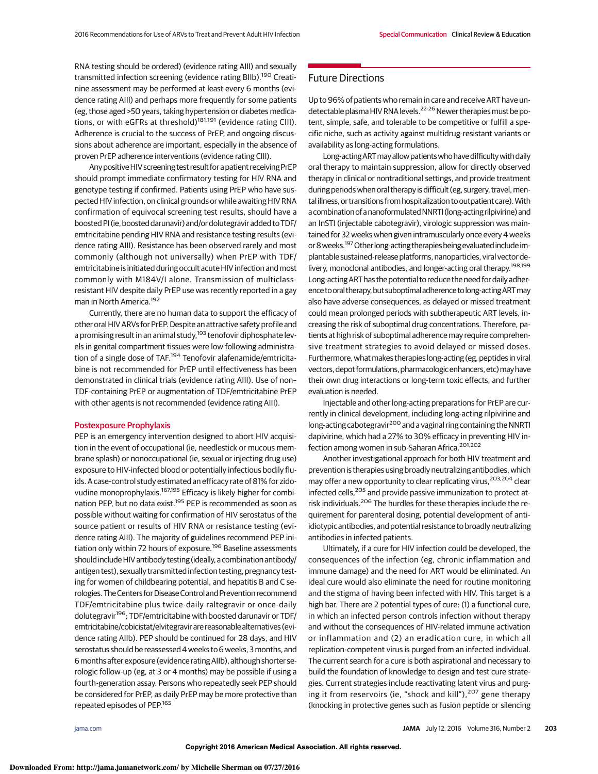RNA testing should be ordered) (evidence rating AIII) and sexually transmitted infection screening (evidence rating BIIb).<sup>190</sup> Creatinine assessment may be performed at least every 6 months (evidence rating AIII) and perhaps more frequently for some patients (eg, those aged >50 years, taking hypertension or diabetes medications, or with eGFRs at threshold)<sup>181,191</sup> (evidence rating CIII). Adherence is crucial to the success of PrEP, and ongoing discussions about adherence are important, especially in the absence of proven PrEP adherence interventions (evidence rating CIII).

Any positive HIV screening test result for a patient receiving PrEP should prompt immediate confirmatory testing for HIV RNA and genotype testing if confirmed. Patients using PrEP who have suspected HIV infection, on clinical grounds or while awaiting HIV RNA confirmation of equivocal screening test results, should have a boosted PI (ie, boosted darunavir) and/or dolutegravir added to TDF/ emtricitabine pending HIV RNA and resistance testing results (evidence rating AIII). Resistance has been observed rarely and most commonly (although not universally) when PrEP with TDF/ emtricitabine is initiated during occult acute HIV infection and most commonly with M184V/I alone. Transmission of multiclassresistant HIV despite daily PrEP use was recently reported in a gay man in North America.<sup>192</sup>

Currently, there are no human data to support the efficacy of other oralHIV ARVs for PrEP. Despite an attractive safety profile and a promising result in an animal study,<sup>193</sup> tenofovir diphosphate levels in genital compartment tissues were low following administration of a single dose of TAF.<sup>194</sup> Tenofovir alafenamide/emtricitabine is not recommended for PrEP until effectiveness has been demonstrated in clinical trials (evidence rating AIII). Use of non– TDF-containing PrEP or augmentation of TDF/emtricitabine PrEP with other agents is not recommended (evidence rating AIII).

#### Postexposure Prophylaxis

PEP is an emergency intervention designed to abort HIV acquisition in the event of occupational (ie, needlestick or mucous membrane splash) or nonoccupational (ie, sexual or injecting drug use) exposure to HIV-infected blood or potentially infectious bodily fluids. A case-control study estimated an efficacy rate of 81% for zidovudine monoprophylaxis.<sup>167,195</sup> Efficacy is likely higher for combination PEP, but no data exist.<sup>195</sup> PEP is recommended as soon as possible without waiting for confirmation of HIV serostatus of the source patient or results of HIV RNA or resistance testing (evidence rating AIII). The majority of guidelines recommend PEP initiation only within 72 hours of exposure.<sup>196</sup> Baseline assessments should include HIV antibody testing (ideally, a combination antibody/ antigen test), sexually transmitted infection testing, pregnancy testing for women of childbearing potential, and hepatitis B and C serologies. The Centers for Disease Control and Prevention recommend TDF/emtricitabine plus twice-daily raltegravir or once-daily dolutegravir<sup>196</sup>; TDF/emtricitabine with boosted darunavir or TDF/ emtricitabine/cobicistat/elvitegravir are reasonable alternatives (evidence rating AIIb). PEP should be continued for 28 days, and HIV serostatus should be reassessed 4 weeks to 6 weeks, 3 months, and 6months after exposure (evidence rating AIIb), although shorter serologic follow-up (eg, at 3 or 4 months) may be possible if using a fourth-generation assay. Persons who repeatedly seek PEP should be considered for PrEP, as daily PrEP may be more protective than repeated episodes of PEP.165

# Future Directions

Up to 96% of patients who remain in care and receive ART have undetectable plasma HIV RNA levels.<sup>22-26</sup> Newer therapies must be potent, simple, safe, and tolerable to be competitive or fulfill a specific niche, such as activity against multidrug-resistant variants or availability as long-acting formulations.

Long-actingARTmayallowpatientswhohavedifficultywithdaily oral therapy to maintain suppression, allow for directly observed therapy in clinical or nontraditional settings, and provide treatment during periods when oral therapy is difficult (eg, surgery, travel,mental illness, or transitions from hospitalization to outpatient care).With a combination of a nanoformulated NNRTI (long-acting rilpivirine) and an InSTI (injectable cabotegravir), virologic suppression was maintained for 32 weeks when given intramuscularly once every 4 weeks or 8 weeks.<sup>197</sup> Other long-acting therapies being evaluated include implantable sustained-release platforms, nanoparticles, viral vector delivery, monoclonal antibodies, and longer-acting oral therapy.<sup>198,199</sup> Long-acting ART has the potential to reduce the need for daily adherence to oral therapy, but suboptimal adherence to long-acting ART may also have adverse consequences, as delayed or missed treatment could mean prolonged periods with subtherapeutic ART levels, increasing the risk of suboptimal drug concentrations. Therefore, patients at high risk of suboptimal adherence may require comprehensive treatment strategies to avoid delayed or missed doses. Furthermore, what makes therapies long-acting (eg, peptides in viral vectors, depot formulations, pharmacologic enhancers, etc) may have their own drug interactions or long-term toxic effects, and further evaluation is needed.

Injectable and other long-acting preparations for PrEP are currently in clinical development, including long-acting rilpivirine and long-acting cabotegravir<sup>200</sup> and a vaginal ring containing the NNRTI dapivirine, which had a 27% to 30% efficacy in preventing HIV infection among women in sub-Saharan Africa.<sup>201,202</sup>

Another investigational approach for both HIV treatment and prevention is therapies using broadly neutralizing antibodies, which may offer a new opportunity to clear replicating virus,<sup>203,204</sup> clear infected cells,<sup>205</sup> and provide passive immunization to protect atrisk individuals.<sup>206</sup> The hurdles for these therapies include the requirement for parenteral dosing, potential development of antiidiotypic antibodies, and potential resistance to broadly neutralizing antibodies in infected patients.

Ultimately, if a cure for HIV infection could be developed, the consequences of the infection (eg, chronic inflammation and immune damage) and the need for ART would be eliminated. An ideal cure would also eliminate the need for routine monitoring and the stigma of having been infected with HIV. This target is a high bar. There are 2 potential types of cure: (1) a functional cure, in which an infected person controls infection without therapy and without the consequences of HIV-related immune activation or inflammation and (2) an eradication cure, in which all replication-competent virus is purged from an infected individual. The current search for a cure is both aspirational and necessary to build the foundation of knowledge to design and test cure strategies. Current strategies include reactivating latent virus and purging it from reservoirs (ie, "shock and kill"),<sup>207</sup> gene therapy (knocking in protective genes such as fusion peptide or silencing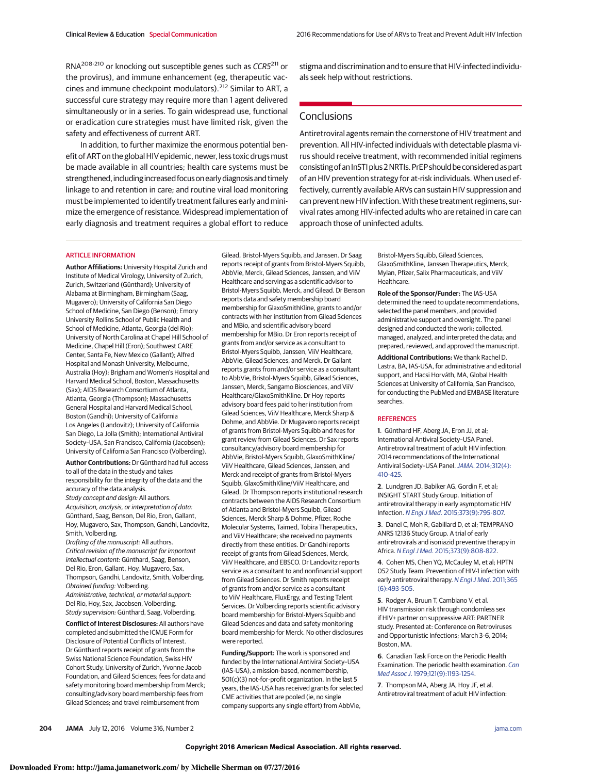RNA208-210 or knocking out susceptible genes such as *CCR5*<sup>211</sup> or the provirus), and immune enhancement (eg, therapeutic vaccines and immune checkpoint modulators).<sup>212</sup> Similar to ART, a successful cure strategy may require more than 1 agent delivered simultaneously or in a series. To gain widespread use, functional or eradication cure strategies must have limited risk, given the safety and effectiveness of current ART.

In addition, to further maximize the enormous potential benefit of ART on the global HIV epidemic, newer, less toxic drugs must be made available in all countries; health care systems must be strengthened, including increased focus onearly diagnosisand timely linkage to and retention in care; and routine viral load monitoring must be implemented to identify treatment failures early and minimize the emergence of resistance. Widespread implementation of early diagnosis and treatment requires a global effort to reduce

stigma and discrimination and to ensure that HIV-infected individuals seek help without restrictions.

# **Conclusions**

Antiretroviral agents remain the cornerstone of HIV treatment and prevention. All HIV-infected individuals with detectable plasma virus should receive treatment, with recommended initial regimens consisting of an InSTI plus 2 NRTIs. PrEP should be considered as part of an HIV prevention strategy for at-risk individuals. When used effectively, currently available ARVs can sustain HIV suppression and can prevent new HIV infection. With these treatment regimens, survival rates among HIV-infected adults who are retained in care can approach those of uninfected adults.

#### ARTICLE INFORMATION

**Author Affiliations:** University Hospital Zurich and Institute of Medical Virology, University of Zurich, Zurich, Switzerland (Günthard); University of Alabama at Birmingham, Birmingham (Saag, Mugavero); University of California San Diego School of Medicine, San Diego (Benson); Emory University Rollins School of Public Health and School of Medicine, Atlanta, Georgia (del Rio); University of North Carolina at Chapel Hill School of Medicine, Chapel Hill (Eron); Southwest CARE Center, Santa Fe, New Mexico (Gallant); Alfred Hospital and Monash University, Melbourne, Australia (Hoy); Brigham and Women's Hospital and Harvard Medical School, Boston, Massachusetts (Sax); AIDS Research Consortium of Atlanta, Atlanta, Georgia (Thompson); Massachusetts General Hospital and Harvard Medical School, Boston (Gandhi); University of California Los Angeles (Landovitz); University of California San Diego, La Jolla (Smith); International Antiviral Society–USA, San Francisco, California (Jacobsen); University of California San Francisco (Volberding).

**Author Contributions:** Dr Günthard had full access to all of the data in the study and takes responsibility for the integrity of the data and the accuracy of the data analysis. *Study concept and design:* All authors. *Acquisition, analysis, or interpretation of data:* Günthard, Saag, Benson, Del Rio, Eron, Gallant, Hoy, Mugavero, Sax, Thompson, Gandhi, Landovitz, Smith, Volberding.

*Drafting of the manuscript:* All authors. *Critical revision of the manuscript for important intellectual content:* Günthard, Saag, Benson, Del Rio, Eron, Gallant, Hoy, Mugavero, Sax, Thompson, Gandhi, Landovitz, Smith, Volberding. *Obtained funding:* Volberding. *Administrative, technical, or material support:* Del Rio, Hoy, Sax, Jacobsen, Volberding.

*Study supervision:* Günthard, Saag, Volberding. **Conflict of Interest Disclosures:** All authors have completed and submitted the ICMJE Form for Disclosure of Potential Conflicts of Interest. Dr Günthard reports receipt of grants from the Swiss National Science Foundation, Swiss HIV Cohort Study, University of Zurich, Yvonne Jacob Foundation, and Gilead Sciences; fees for data and safety monitoring board membership from Merck; consulting/advisory board membership fees from Gilead Sciences; and travel reimbursement from

Gilead, Bristol-Myers Squibb, and Janssen. Dr Saag reports receipt of grants from Bristol-Myers Squibb, AbbVie, Merck, Gilead Sciences, Janssen, and ViiV Healthcare and serving as a scientific advisor to Bristol-Myers Squibb, Merck, and Gilead. Dr Benson reports data and safety membership board membership for GlaxoSmithKline, grants to and/or contracts with her institution from Gilead Sciences and MBio, and scientific advisory board membership for MBio. Dr Eron reports receipt of grants from and/or service as a consultant to Bristol-Myers Squibb, Janssen, ViiV Healthcare, AbbVie, Gilead Sciences, and Merck. Dr Gallant reports grants from and/or service as a consultant to AbbVie, Bristol-Myers Squibb, Gilead Sciences, Janssen, Merck, Sangamo Biosciences, and ViiV Healthcare/GlaxoSmithKline. Dr Hoy reports advisory board fees paid to her institution from Gilead Sciences, ViiV Healthcare, Merck Sharp & Dohme, and AbbVie. Dr Mugavero reports receipt of grants from Bristol-Myers Squibb and fees for grant review from Gilead Sciences. Dr Sax reports consultancy/advisory board membership for AbbVie, Bristol-Myers Squibb, GlaxoSmithKline/ ViiV Healthcare, Gilead Sciences, Janssen, and Merck and receipt of grants from Bristol-Myers Squibb, GlaxoSmithKline/ViiV Healthcare, and Gilead. Dr Thompson reports institutional research contracts between the AIDS Research Consortium of Atlanta and Bristol-Myers Squibb, Gilead Sciences, Merck Sharp & Dohme, Pfizer, Roche Molecular Systems, Taimed, Tobira Therapeutics, and ViiV Healthcare; she received no payments directly from these entities. Dr Gandhi reports receipt of grants from Gilead Sciences, Merck, ViiV Healthcare, and EBSCO. Dr Landovitz reports service as a consultant to and nonfinancial support from Gilead Sciences. Dr Smith reports receipt of grants from and/or service as a consultant to ViiV Healthcare, FluxErgy, and Testing Talent Services. Dr Volberding reports scientific advisory board membership for Bristol-Myers Squibb and Gilead Sciences and data and safety monitoring board membership for Merck. No other disclosures were reported.

**Funding/Support:** The work is sponsored and funded by the International Antiviral Society–USA (IAS-USA), a mission-based, nonmembership, 501(c)(3) not-for-profit organization. In the last 5 years, the IAS-USA has received grants for selected CME activities that are pooled (ie, no single company supports any single effort) from AbbVie,

Bristol-Myers Squibb, Gilead Sciences, GlaxoSmithKline, Janssen Therapeutics, Merck, Mylan, Pfizer, Salix Pharmaceuticals, and ViiV Healthcare.

**Role of the Sponsor/Funder:** The IAS-USA determined the need to update recommendations, selected the panel members, and provided administrative support and oversight. The panel designed and conducted the work; collected, managed, analyzed, and interpreted the data; and prepared, reviewed, and approved the manuscript.

**Additional Contributions:** We thank Rachel D. Lastra, BA, IAS-USA, for administrative and editorial support, and Hacsi Horváth, MA, Global Health Sciences at University of California, San Francisco, for conducting the PubMed and EMBASE literature searches.

#### **REFERENCES**

**1**. Günthard HF, Aberg JA, Eron JJ, et al; International Antiviral Society–USA Panel. Antiretroviral treatment of adult HIV infection: 2014 recommendations of the International Antiviral Society–USA Panel.*JAMA*[. 2014;312\(4\):](http://www.ncbi.nlm.nih.gov/pubmed/25038359) [410-425.](http://www.ncbi.nlm.nih.gov/pubmed/25038359)

**2**. Lundgren JD, Babiker AG, Gordin F, et al; INSIGHT START Study Group. Initiation of antiretroviral therapy in early asymptomatic HIV Infection. *N Engl J Med*[. 2015;373\(9\):795-807.](http://www.ncbi.nlm.nih.gov/pubmed/26192873)

**3**. Danel C, Moh R, Gabillard D, et al; TEMPRANO ANRS 12136 Study Group. A trial of early antiretrovirals and isoniazid preventive therapy in Africa. *N Engl J Med*[. 2015;373\(9\):808-822.](http://www.ncbi.nlm.nih.gov/pubmed/26193126)

**4**. Cohen MS, Chen YQ, McCauley M, et al; HPTN 052 Study Team. Prevention of HIV-1 infection with early antiretroviral therapy. *[N Engl J Med](http://www.ncbi.nlm.nih.gov/pubmed/21767103)*. 2011;365 [\(6\):493-505.](http://www.ncbi.nlm.nih.gov/pubmed/21767103)

**5**. Rodger A, Bruun T, Cambiano V, et al. HIV transmission risk through condomless sex if HIV+ partner on suppressive ART: PARTNER study. Presented at: Conference on Retroviruses and Opportunistic Infections; March 3-6, 2014; Boston, MA.

**6**. Canadian Task Force on the Periodic Health Examination. The periodic health examination. *[Can](http://www.ncbi.nlm.nih.gov/pubmed/115569) Med Assoc J*[. 1979;121\(9\):1193-1254.](http://www.ncbi.nlm.nih.gov/pubmed/115569)

**7**. Thompson MA, Aberg JA, Hoy JF, et al. Antiretroviral treatment of adult HIV infection: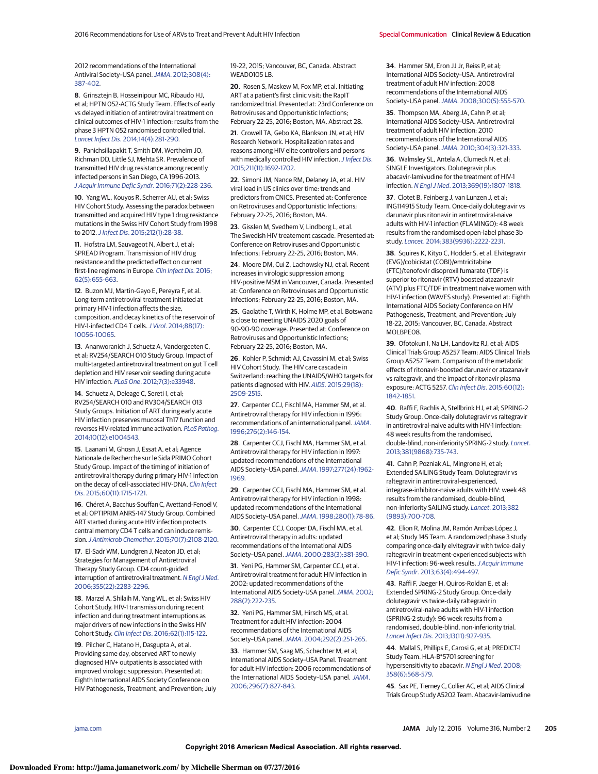2012 recommendations of the International Antiviral Society–USA panel.*JAMA*[. 2012;308\(4\):](http://www.ncbi.nlm.nih.gov/pubmed/22820792) [387-402.](http://www.ncbi.nlm.nih.gov/pubmed/22820792)

**8**. Grinsztejn B, Hosseinipour MC, Ribaudo HJ, et al; HPTN 052-ACTG Study Team. Effects of early vs delayed initiation of antiretroviral treatment on clinical outcomes of HIV-1 infection: results from the phase 3 HPTN 052 randomised controlled trial. *Lancet Infect Dis*[. 2014;14\(4\):281-290.](http://www.ncbi.nlm.nih.gov/pubmed/24602844)

**9**. Panichsillapakit T, Smith DM, Wertheim JO, Richman DD, Little SJ, Mehta SR. Prevalence of transmitted HIV drug resistance among recently infected persons in San Diego, CA 1996-2013. *[J Acquir Immune Defic Syndr](http://www.ncbi.nlm.nih.gov/pubmed/26413846)*. 2016;71(2):228-236.

**10**. Yang WL, Kouyos R, Scherrer AU, et al; Swiss HIV Cohort Study. Assessing the paradox between transmitted and acquired HIV type 1 drug resistance mutations in the Swiss HIV Cohort Study from 1998 to 2012.*J Infect Dis*[. 2015;212\(1\):28-38.](http://www.ncbi.nlm.nih.gov/pubmed/25576600)

**11**. Hofstra LM, Sauvageot N, Albert J, et al; SPREAD Program. Transmission of HIV drug resistance and the predicted effect on current first-line regimens in Europe. *[Clin Infect Dis](http://www.ncbi.nlm.nih.gov/pubmed/26620652)*. 2016; [62\(5\):655-663.](http://www.ncbi.nlm.nih.gov/pubmed/26620652)

**12**. Buzon MJ, Martin-Gayo E, Pereyra F, et al. Long-term antiretroviral treatment initiated at primary HIV-1 infection affects the size, composition, and decay kinetics of the reservoir of HIV-1-infected CD4 T cells.*J Virol*[. 2014;88\(17\):](http://www.ncbi.nlm.nih.gov/pubmed/24965451) [10056-10065.](http://www.ncbi.nlm.nih.gov/pubmed/24965451)

**13**. Ananworanich J, Schuetz A, Vandergeeten C, et al; RV254/SEARCH 010 Study Group. Impact of multi-targeted antiretroviral treatment on gut T cell depletion and HIV reservoir seeding during acute HIV infection. *PLoS One*[. 2012;7\(3\):e33948.](http://www.ncbi.nlm.nih.gov/pubmed/22479485)

**14**. Schuetz A, Deleage C, Sereti I, et al; RV254/SEARCH 010 and RV304/SEARCH 013 Study Groups. Initiation of ART during early acute HIV infection preserves mucosal Th17 function and reverses HIV-related immune activation. *[PLoS Pathog](http://www.ncbi.nlm.nih.gov/pubmed/25503054)*. [2014;10\(12\):e1004543.](http://www.ncbi.nlm.nih.gov/pubmed/25503054)

**15**. Laanani M, Ghosn J, Essat A, et al; Agence Nationale de Recherche sur le Sida PRIMO Cohort Study Group. Impact of the timing of initiation of antiretroviral therapy during primary HIV-1 infection on the decay of cell-associated HIV-DNA. *[Clin Infect](http://www.ncbi.nlm.nih.gov/pubmed/25737374) Dis*[. 2015;60\(11\):1715-1721.](http://www.ncbi.nlm.nih.gov/pubmed/25737374)

**16**. Chéret A, Bacchus-Souffan C, Avettand-Fenoël V, et al; OPTIPRIM ANRS-147 Study Group. Combined ART started during acute HIV infection protects central memory CD4 T cells and can induce remission.*J Antimicrob Chemother*[. 2015;70\(7\):2108-2120.](http://www.ncbi.nlm.nih.gov/pubmed/25900157)

**17**. El-Sadr WM, Lundgren J, Neaton JD, et al; Strategies for Management of Antiretroviral Therapy Study Group. CD4 count-guided interruption of antiretroviral treatment. *[N Engl J Med](http://www.ncbi.nlm.nih.gov/pubmed/17135583)*. [2006;355\(22\):2283-2296.](http://www.ncbi.nlm.nih.gov/pubmed/17135583)

**18**. Marzel A, Shilaih M, Yang WL, et al; Swiss HIV Cohort Study. HIV-1 transmission during recent infection and during treatment interruptions as major drivers of new infections in the Swiss HIV Cohort Study. *Clin Infect Dis*[. 2016;62\(1\):115-122.](http://www.ncbi.nlm.nih.gov/pubmed/26387084)

**19**. Pilcher C, Hatano H, Dasgupta A, et al. Providing same day, observed ART to newly diagnosed HIV+ outpatients is associated with improved virologic suppression. Presented at: Eighth International AIDS Society Conference on HIV Pathogenesis, Treatment, and Prevention; July 19-22, 2015; Vancouver, BC, Canada. Abstract WEAD0105 LB.

**20**. Rosen S, Maskew M, Fox MP, et al. Initiating ART at a patient's first clinic visit: the RapIT randomized trial. Presented at: 23rd Conference on Retroviruses and Opportunistic Infections; February 22-25, 2016; Boston, MA. Abstract 28.

**21**. Crowell TA, Gebo KA, Blankson JN, et al; HIV Research Network. Hospitalization rates and reasons among HIV elite controllers and persons with medically controlled HIV infection. *[J Infect Dis](http://www.ncbi.nlm.nih.gov/pubmed/25512624)*. [2015;211\(11\):1692-1702.](http://www.ncbi.nlm.nih.gov/pubmed/25512624)

**22**. Simoni JM, Nance RM, Delaney JA, et al. HIV viral load in US clinics over time: trends and predictors from CNICS. Presented at: Conference on Retroviruses and Opportunistic Infections; February 22-25, 2016; Boston, MA.

**23**. Gisslen M, Svedhem V, Lindborg L, et al. The Swedish HIV treatement cascade. Presented at: Conference on Retroviruses and Opportunistic Infections; February 22-25, 2016; Boston, MA.

**24**. Moore DM, Cui Z, Lachowsky NJ, et al. Recent increases in virologic suppression among HIV-positive MSM in Vancouver, Canada. Presented at: Conference on Retroviruses and Opportunistic Infections; February 22-25, 2016; Boston, MA.

**25**. Gaolathe T, Wirth K, Holme MP, et al. Botswana is close to meeting UNAIDS 2020 goals of 90-90-90 coverage. Presented at: Conference on Retroviruses and Opportunistic Infections; February 22-25, 2016; Boston, MA.

**26**. Kohler P, Schmidt AJ, Cavassini M, et al; Swiss HIV Cohort Study. The HIV care cascade in Switzerland: reaching the UNAIDS/WHO targets for patients diagnosed with HIV. *AIDS*[. 2015;29\(18\):](http://www.ncbi.nlm.nih.gov/pubmed/26372488) [2509-2515.](http://www.ncbi.nlm.nih.gov/pubmed/26372488)

**27**. Carpenter CCJ, Fischl MA, Hammer SM, et al. Antiretroviral therapy for HIV infection in 1996: recommendations of an international panel.*[JAMA](http://www.ncbi.nlm.nih.gov/pubmed/8656507)*. [1996;276\(2\):146-154.](http://www.ncbi.nlm.nih.gov/pubmed/8656507)

**28**. Carpenter CCJ, Fischl MA, Hammer SM, et al. Antiretroviral therapy for HIV infection in 1997: updated recommendations of the International AIDS Society–USA panel.*JAMA*[. 1997;277\(24\):1962-](http://www.ncbi.nlm.nih.gov/pubmed/9200638) [1969.](http://www.ncbi.nlm.nih.gov/pubmed/9200638)

**29**. Carpenter CCJ, Fischl MA, Hammer SM, et al. Antiretroviral therapy for HIV infection in 1998: updated recommendations of the International AIDS Society–USA panel.*JAMA*[. 1998;280\(1\):78-86.](http://www.ncbi.nlm.nih.gov/pubmed/9660368)

**30**. Carpenter CCJ, Cooper DA, Fischl MA, et al. Antiretroviral therapy in adults: updated recommendations of the International AIDS Society–USA panel.*JAMA*[. 2000;283\(3\):381-390.](http://www.ncbi.nlm.nih.gov/pubmed/10647802)

**31**. Yeni PG, Hammer SM, Carpenter CCJ, et al. Antiretroviral treatment for adult HIV infection in 2002: updated recommendations of the International AIDS Society-USA panel.*JAMA*[. 2002;](http://www.ncbi.nlm.nih.gov/pubmed/12095387) [288\(2\):222-235.](http://www.ncbi.nlm.nih.gov/pubmed/12095387)

**32**. Yeni PG, Hammer SM, Hirsch MS, et al. Treatment for adult HIV infection: 2004 recommendations of the International AIDS Society–USA panel.*JAMA*[. 2004;292\(2\):251-265.](http://www.ncbi.nlm.nih.gov/pubmed/15249575)

**33**. Hammer SM, Saag MS, Schechter M, et al; International AIDS Society–USA Panel. Treatment for adult HIV infection: 2006 recommendations of the International AIDS Society–USA panel. *[JAMA](http://www.ncbi.nlm.nih.gov/pubmed/16905788)*. [2006;296\(7\):827-843.](http://www.ncbi.nlm.nih.gov/pubmed/16905788)

**34**. Hammer SM, Eron JJ Jr, Reiss P, et al; International AIDS Society–USA. Antiretroviral treatment of adult HIV infection: 2008 recommendations of the International AIDS Society–USA panel.*JAMA*[. 2008;300\(5\):555-570.](http://www.ncbi.nlm.nih.gov/pubmed/18677028)

**35**. Thompson MA, Aberg JA, Cahn P, et al; International AIDS Society–USA. Antiretroviral treatment of adult HIV infection: 2010 recommendations of the International AIDS Society–USA panel.*JAMA*[. 2010;304\(3\):321-333.](http://www.ncbi.nlm.nih.gov/pubmed/20639566)

**36**. Walmsley SL, Antela A, Clumeck N, et al; SINGLE Investigators. Dolutegravir plus abacavir-lamivudine for the treatment of HIV-1 infection. *N Engl J Med*[. 2013;369\(19\):1807-1818.](http://www.ncbi.nlm.nih.gov/pubmed/24195548)

**37**. Clotet B, Feinberg J, van Lunzen J, et al; ING114915 Study Team. Once-daily dolutegravir vs darunavir plus ritonavir in antiretroviral-naive adults with HIV-1 infection (FLAMINGO): 48 week results from the randomised open-label phase 3b study. *Lancet*[. 2014;383\(9936\):2222-2231.](http://www.ncbi.nlm.nih.gov/pubmed/24698485)

**38**. Squires K, Kityo C, Hodder S, et al. Elvitegravir (EVG)/cobicistat (COBI)/emtricitabine (FTC)/tenofovir disoproxil fumarate (TDF) is superior to ritonavir (RTV) boosted atazanavir (ATV) plus FTC/TDF in treatment naive women with HIV-1 infection (WAVES study). Presented at: Eighth International AIDS Society Conference on HIV Pathogenesis, Treatment, and Prevention; July 18-22, 2015; Vancouver, BC, Canada. Abstract MOL BPFOR

**39**. Ofotokun I, Na LH, Landovitz RJ, et al; AIDS Clinical Trials Group A5257 Team; AIDS Clinical Trials Group A5257 Team. Comparison of the metabolic effects of ritonavir-boosted darunavir or atazanavir vs raltegravir, and the impact of ritonavir plasma exposure: ACTG 5257. *Clin Infect Dis*[. 2015;60\(12\):](http://www.ncbi.nlm.nih.gov/pubmed/25767256) [1842-1851.](http://www.ncbi.nlm.nih.gov/pubmed/25767256)

**40**. Raffi F, Rachlis A, Stellbrink HJ, et al; SPRING-2 Study Group. Once-daily dolutegravir vs raltegravir in antiretroviral-naive adults with HIV-1 infection: 48 week results from the randomised, double-blind, non-inferiority SPRING-2 study. *[Lancet](http://www.ncbi.nlm.nih.gov/pubmed/23306000)*. [2013;381\(9868\):735-743.](http://www.ncbi.nlm.nih.gov/pubmed/23306000)

**41**. Cahn P, Pozniak AL, Mingrone H, et al; Extended SAILING Study Team. Dolutegravir vs raltegravir in antiretroviral-experienced, integrase-inhibitor-naive adults with HIV: week 48 results from the randomised, double-blind, non-inferiority SAILING study. *Lancet*[. 2013;382](http://www.ncbi.nlm.nih.gov/pubmed/23830355) [\(9893\):700-708.](http://www.ncbi.nlm.nih.gov/pubmed/23830355)

**42**. Elion R, Molina JM, Ramón Arribas López J, et al; Study 145 Team. A randomized phase 3 study comparing once-daily elvitegravir with twice-daily raltegravir in treatment-experienced subjects with HIV-1 infection: 96-week results.*[J Acquir Immune](http://www.ncbi.nlm.nih.gov/pubmed/23807156) Defic Syndr*[. 2013;63\(4\):494-497.](http://www.ncbi.nlm.nih.gov/pubmed/23807156)

**43**. Raffi F, Jaeger H, Quiros-Roldan E, et al; Extended SPRING-2 Study Group. Once-daily dolutegravir vs twice-daily raltegravir in antiretroviral-naive adults with HIV-1 infection (SPRING-2 study): 96 week results from a randomised, double-blind, non-inferiority trial. *Lancet Infect Dis*[. 2013;13\(11\):927-935.](http://www.ncbi.nlm.nih.gov/pubmed/24074642)

**44**. Mallal S, Phillips E, Carosi G, et al; PREDICT-1 Study Team. HLA-B\*5701 screening for hypersensitivity to abacavir. *[N Engl J Med](http://www.ncbi.nlm.nih.gov/pubmed/18256392)*. 2008; [358\(6\):568-579.](http://www.ncbi.nlm.nih.gov/pubmed/18256392)

**45**. Sax PE, Tierney C, Collier AC, et al; AIDS Clinical Trials Group Study A5202 Team. Abacavir-lamivudine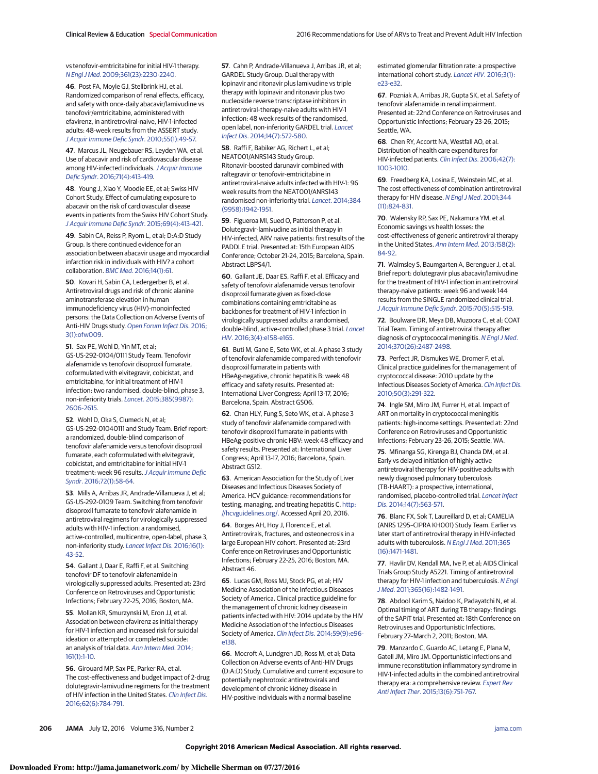#### vs tenofovir-emtricitabine for initial HIV-1 therapy. *N Engl J Med*[. 2009;361\(23\):2230-2240.](http://www.ncbi.nlm.nih.gov/pubmed/19952143)

**46**. Post FA, Moyle GJ, Stellbrink HJ, et al. Randomized comparison of renal effects, efficacy, and safety with once-daily abacavir/lamivudine vs tenofovir/emtricitabine, administered with efavirenz, in antiretroviral-naive, HIV-1-infected adults: 48-week results from the ASSERT study. *[J Acquir Immune Defic Syndr](http://www.ncbi.nlm.nih.gov/pubmed/20431394)*. 2010;55(1):49-57.

**47**. Marcus JL, Neugebauer RS, Leyden WA, et al. Use of abacavir and risk of cardiovascular disease among HIV-infected individuals.*[J Acquir Immune](http://www.ncbi.nlm.nih.gov/pubmed/26536316) Defic Syndr*[. 2016;71\(4\):413-419.](http://www.ncbi.nlm.nih.gov/pubmed/26536316)

**48**. Young J, Xiao Y, Moodie EE, et al; Swiss HIV Cohort Study. Effect of cumulating exposure to abacavir on the risk of cardiovascular disease events in patients from the Swiss HIV Cohort Study. *[J Acquir Immune Defic Syndr](http://www.ncbi.nlm.nih.gov/pubmed/25932884)*. 2015;69(4):413-421.

**49**. Sabin CA, Reiss P, Ryom L, et al; D:A:D Study Group. Is there continued evidence for an association between abacavir usage and myocardial infarction risk in individuals with HIV? a cohort collaboration. *BMC Med*[. 2016;14\(1\):61.](http://www.ncbi.nlm.nih.gov/pubmed/27036962)

**50**. Kovari H, Sabin CA, Ledergerber B, et al. Antiretroviral drugs and risk of chronic alanine aminotransferase elevation in human immunodeficiency virus (HIV)-monoinfected persons: the Data Collection on Adverse Events of Anti-HIV Drugs study. *[Open Forum Infect Dis](http://www.ncbi.nlm.nih.gov/pubmed/26925429)*. 2016; [3\(1\):ofw009.](http://www.ncbi.nlm.nih.gov/pubmed/26925429)

**51**. Sax PE, Wohl D, Yin MT, et al; GS-US-292-0104/0111 Study Team. Tenofovir alafenamide vs tenofovir disoproxil fumarate, coformulated with elvitegravir, cobicistat, and emtricitabine, for initial treatment of HIV-1 infection: two randomised, double-blind, phase 3, non-inferiority trials. *Lancet*[. 2015;385\(9987\):](http://www.ncbi.nlm.nih.gov/pubmed/25890673) [2606-2615.](http://www.ncbi.nlm.nih.gov/pubmed/25890673)

**52**. Wohl D, Oka S, Clumeck N, et al; GS-US-292-01040111 and Study Team. Brief report: a randomized, double-blind comparison of tenofovir alafenamide versus tenofovir disoproxil fumarate, each coformulated with elvitegravir, cobicistat, and emtricitabine for initial HIV-1 treatment: week 96 results.*[J Acquir Immune Defic](http://www.ncbi.nlm.nih.gov/pubmed/26829661) Syndr*[. 2016;72\(1\):58-64.](http://www.ncbi.nlm.nih.gov/pubmed/26829661)

**53**. Mills A, Arribas JR, Andrade-Villanueva J, et al; GS-US-292-0109 Team. Switching from tenofovir disoproxil fumarate to tenofovir alafenamide in antiretroviral regimens for virologically suppressed adults with HIV-1 infection: a randomised, active-controlled, multicentre, open-label, phase 3, non-inferiority study. *[Lancet Infect Dis](http://www.ncbi.nlm.nih.gov/pubmed/26538525)*. 2016;16(1): [43-52.](http://www.ncbi.nlm.nih.gov/pubmed/26538525)

**54**. Gallant J, Daar E, Raffi F, et al. Switching tenofovir DF to tenofovir alafenamide in virologically suppressed adults. Presented at: 23rd Conference on Retroviruses and Opportunistic Infections; February 22-25, 2016; Boston, MA.

**55**. Mollan KR, Smurzynski M, Eron JJ, et al. Association between efavirenz as initial therapy for HIV-1 infection and increased risk for suicidal ideation or attempted or completed suicide: an analysis of trial data. *[Ann Intern Med](http://www.ncbi.nlm.nih.gov/pubmed/24979445)*. 2014; [161\(1\):1-10.](http://www.ncbi.nlm.nih.gov/pubmed/24979445)

**56**. Girouard MP, Sax PE, Parker RA, et al. The cost-effectiveness and budget impact of 2-drug dolutegravir-lamivudine regimens for the treatment of HIV infection in the United States. *[Clin Infect Dis](http://www.ncbi.nlm.nih.gov/pubmed/26658053)*. [2016;62\(6\):784-791.](http://www.ncbi.nlm.nih.gov/pubmed/26658053)

**57**. Cahn P, Andrade-Villanueva J, Arribas JR, et al; GARDEL Study Group. Dual therapy with lopinavir and ritonavir plus lamivudine vs triple therapy with lopinavir and ritonavir plus two nucleoside reverse transcriptase inhibitors in antiretroviral-therapy-naive adults with HIV-1 infection: 48 week results of the randomised, open label, non-inferiority GARDEL trial. *[Lancet](http://www.ncbi.nlm.nih.gov/pubmed/24783988) Infect Dis*[. 2014;14\(7\):572-580.](http://www.ncbi.nlm.nih.gov/pubmed/24783988)

**58**. Raffi F, Babiker AG, Richert L, et al; NEAT001/ANRS143 Study Group. Ritonavir-boosted darunavir combined with raltegravir or tenofovir-emtricitabine in antiretroviral-naive adults infected with HIV-1: 96 week results from the NEAT001/ANRS143 randomised non-inferiority trial. *Lancet*[. 2014;384](http://www.ncbi.nlm.nih.gov/pubmed/25103176) [\(9958\):1942-1951.](http://www.ncbi.nlm.nih.gov/pubmed/25103176)

**59**. Figueroa MI, Sued O, Patterson P, et al. Dolutegravir-lamivudine as initial therapy in HIV-infected, ARV naive patients: first results of the PADDLE trial. Presented at: 15th European AIDS Conference; October 21-24, 2015; Barcelona, Spain. Abstract LBPS4/1.

**60**. Gallant JE, Daar ES, Raffi F, et al. Efficacy and safety of tenofovir alafenamide versus tenofovir disoproxil fumarate given as fixed-dose combinations containing emtricitabine as backbones for treatment of HIV-1 infection in virologically suppressed adults: a randomised, double-blind, active-controlled phase 3 trial. *[Lancet](http://www.ncbi.nlm.nih.gov/pubmed/27036991) HIV*[. 2016;3\(4\):e158-e165.](http://www.ncbi.nlm.nih.gov/pubmed/27036991)

**61**. Buti M, Gane E, Seto WK, et al. A phase 3 study of tenofovir alafenamide compared with tenofovir disoproxil fumarate in patients with HBeAg-negative, chronic hepatitis B: week 48 efficacy and safety results. Presented at: International Liver Congress; April 13-17, 2016; Barcelona, Spain. Abstract GS06.

**62**. Chan HLY, Fung S, Seto WK, et al. A phase 3 study of tenofovir alafenamide compared with tenofovir disoproxil fumarate in patients with HBeAg-positive chronic HBV: week 48 efficacy and safety results. Presented at: International Liver Congress; April 13-17, 2016; Barcelona, Spain. Abstract GS12.

**63**. American Association for the Study of Liver Diseases and Infectious Diseases Society of America. HCV guidance: recommendations for testing, managing, and treating hepatitis C. [http:](http://hcvguidelines.org/) [//hcvguidelines.org/.](http://hcvguidelines.org/) Accessed April 20, 2016.

**64**. Borges AH, Hoy J, Florence E, et al. Antiretrovirals, fractures, and osteonecrosis in a large European HIV cohort. Presented at: 23rd Conference on Retroviruses and Opportunistic Infections; February 22-25, 2016; Boston, MA. Abstract 46.

**65**. Lucas GM, Ross MJ, Stock PG, et al; HIV Medicine Association of the Infectious Diseases Society of America. Clinical practice guideline for the management of chronic kidney disease in patients infected with HIV: 2014 update by the HIV Medicine Association of the Infectious Diseases Society of America. *Clin Infect Dis*[. 2014;59\(9\):e96](http://www.ncbi.nlm.nih.gov/pubmed/25234519) [e138.](http://www.ncbi.nlm.nih.gov/pubmed/25234519)

**66**. Mocroft A, Lundgren JD, Ross M, et al; Data Collection on Adverse events of Anti-HIV Drugs (D:A:D) Study. Cumulative and current exposure to potentially nephrotoxic antiretrovirals and development of chronic kidney disease in HIV-positive individuals with a normal baseline

estimated glomerular filtration rate: a prospective international cohort study. *Lancet HIV*[. 2016;3\(1\):](http://www.ncbi.nlm.nih.gov/pubmed/26762990) [e23-e32.](http://www.ncbi.nlm.nih.gov/pubmed/26762990)

**67**. Pozniak A, Arribas JR, Gupta SK, et al. Safety of tenofovir alafenamide in renal impairment. Presented at: 22nd Conference on Retroviruses and Opportunistic Infections; February 23-26, 2015; Seattle, WA.

**68**. Chen RY, Accortt NA, Westfall AO, et al. Distribution of health care expenditures for HIV-infected patients. *Clin Infect Dis*[. 2006;42\(7\):](http://www.ncbi.nlm.nih.gov/pubmed/16511767) [1003-1010.](http://www.ncbi.nlm.nih.gov/pubmed/16511767)

**69**. Freedberg KA, Losina E, Weinstein MC, et al. The cost effectiveness of combination antiretroviral therapy for HIV disease. *[N Engl J Med](http://www.ncbi.nlm.nih.gov/pubmed/11248160)*. 2001;344 [\(11\):824-831.](http://www.ncbi.nlm.nih.gov/pubmed/11248160)

**70**. Walensky RP, Sax PE, Nakamura YM, et al. Economic savings vs health losses: the cost-effectiveness of generic antiretroviral therapy in the United States. *[Ann Intern Med](http://www.ncbi.nlm.nih.gov/pubmed/23318310)*. 2013;158(2): [84-92.](http://www.ncbi.nlm.nih.gov/pubmed/23318310)

**71**. Walmsley S, Baumgarten A, Berenguer J, et al. Brief report: dolutegravir plus abacavir/lamivudine for the treatment of HIV-1 infection in antiretroviral therapy-naive patients: week 96 and week 144 results from the SINGLE randomized clinical trial. *[J Acquir Immune Defic Syndr](http://www.ncbi.nlm.nih.gov/pubmed/26262777)*. 2015;70(5):515-519.

**72**. Boulware DR, Meya DB, Muzoora C, et al; COAT Trial Team. Timing of antiretroviral therapy after diagnosis of cryptococcal meningitis. *[N Engl J Med](http://www.ncbi.nlm.nih.gov/pubmed/24963568)*. [2014;370\(26\):2487-2498.](http://www.ncbi.nlm.nih.gov/pubmed/24963568)

**73**. Perfect JR, Dismukes WE, Dromer F, et al. Clinical practice guidelines for the management of cryptococcal disease: 2010 update by the Infectious Diseases Society of America. *[Clin Infect Dis](http://www.ncbi.nlm.nih.gov/pubmed/20047480)*. [2010;50\(3\):291-322.](http://www.ncbi.nlm.nih.gov/pubmed/20047480)

**74**. Ingle SM, Miro JM, Furrer H, et al. Impact of ART on mortality in cryptococcal meningitis patients: high-income settings. Presented at: 22nd Conference on Retroviruses and Opportunistic Infections; February 23-26, 2015; Seattle, WA.

**75**. Mfinanga SG, Kirenga BJ, Chanda DM, et al. Early vs delayed initiation of highly active antiretroviral therapy for HIV-positive adults with newly diagnosed pulmonary tuberculosis (TB-HAART): a prospective, international, randomised, placebo-controlled trial. *[Lancet Infect](http://www.ncbi.nlm.nih.gov/pubmed/24810491) Dis*[. 2014;14\(7\):563-571.](http://www.ncbi.nlm.nih.gov/pubmed/24810491)

**76**. Blanc FX, Sok T, Laureillard D, et al; CAMELIA (ANRS 1295–CIPRA KH001) Study Team. Earlier vs later start of antiretroviral therapy in HIV-infected adults with tuberculosis. *[N Engl J Med](http://www.ncbi.nlm.nih.gov/pubmed/22010913)*. 2011;365 [\(16\):1471-1481.](http://www.ncbi.nlm.nih.gov/pubmed/22010913)

**77**. Havlir DV, Kendall MA, Ive P, et al; AIDS Clinical Trials Group Study A5221. Timing of antiretroviral therapy for HIV-1 infection and tuberculosis. *[N Engl](http://www.ncbi.nlm.nih.gov/pubmed/22010914) J Med*[. 2011;365\(16\):1482-1491.](http://www.ncbi.nlm.nih.gov/pubmed/22010914)

**78**. Abdool Karim S, Naidoo K, Padayatchi N, et al. Optimal timing of ART during TB therapy: findings of the SAPiT trial. Presented at: 18th Conference on Retroviruses and Opportunistic Infections. February 27–March 2, 2011; Boston, MA.

**79**. Manzardo C, Guardo AC, Letang E, Plana M, Gatell JM, Miro JM. Opportunistic infections and immune reconstitution inflammatory syndrome in HIV-1-infected adults in the combined antiretroviral therapy era: a comprehensive review. *[Expert Rev](http://www.ncbi.nlm.nih.gov/pubmed/25860288) Anti Infect Ther*[. 2015;13\(6\):751-767.](http://www.ncbi.nlm.nih.gov/pubmed/25860288)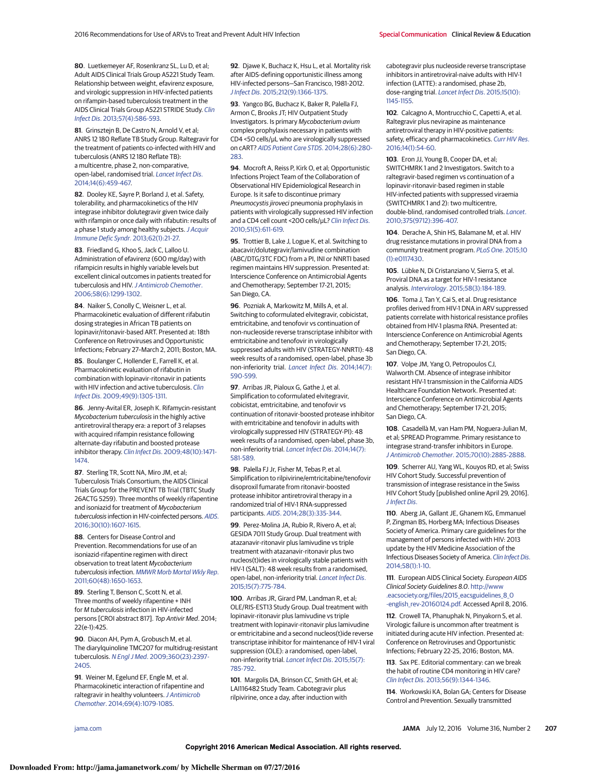**80**. Luetkemeyer AF, Rosenkranz SL, Lu D, et al; Adult AIDS Clinical Trials Group A5221 Study Team. Relationship between weight, efavirenz exposure, and virologic suppression in HIV-infected patients on rifampin-based tuberculosis treatment in the AIDS Clinical Trials Group A5221 STRIDE Study. *[Clin](http://www.ncbi.nlm.nih.gov/pubmed/23592830) Infect Dis*[. 2013;57\(4\):586-593.](http://www.ncbi.nlm.nih.gov/pubmed/23592830)

**81**. Grinsztejn B, De Castro N, Arnold V, et al; ANRS 12 180 Reflate TB Study Group. Raltegravir for the treatment of patients co-infected with HIV and tuberculosis (ANRS 12 180 Reflate TB): a multicentre, phase 2, non-comparative, open-label, randomised trial. *[Lancet Infect Dis](http://www.ncbi.nlm.nih.gov/pubmed/24726095)*. [2014;14\(6\):459-467.](http://www.ncbi.nlm.nih.gov/pubmed/24726095)

**82**. Dooley KE, Sayre P, Borland J, et al. Safety, tolerability, and pharmacokinetics of the HIV integrase inhibitor dolutegravir given twice daily with rifampin or once daily with rifabutin: results of a phase 1 study among healthy subjects. *[J Acquir](http://www.ncbi.nlm.nih.gov/pubmed/23075918) [Immune Defic Syndr](http://www.ncbi.nlm.nih.gov/pubmed/23075918)*. 2013;62(1):21-27.

**83**. Friedland G, Khoo S, Jack C, Lalloo U. Administration of efavirenz (600 mg/day) with rifampicin results in highly variable levels but excellent clinical outcomes in patients treated for tuberculosis and HIV.*[J Antimicrob Chemother](http://www.ncbi.nlm.nih.gov/pubmed/17032686)*. [2006;58\(6\):1299-1302.](http://www.ncbi.nlm.nih.gov/pubmed/17032686)

**84**. Naiker S, Conolly C, Weisner L, et al. Pharmacokinetic evaluation of different rifabutin dosing strategies in African TB patients on lopinavir/ritonavir-based ART. Presented at: 18th Conference on Retroviruses and Opportunistic Infections; February 27–March 2, 2011; Boston, MA.

**85**. Boulanger C, Hollender E, Farrell K, et al. Pharmacokinetic evaluation of rifabutin in combination with lopinavir-ritonavir in patients with HIV infection and active tuberculosis. *[Clin](http://www.ncbi.nlm.nih.gov/pubmed/19807276) Infect Dis*[. 2009;49\(9\):1305-1311.](http://www.ncbi.nlm.nih.gov/pubmed/19807276)

**86**. Jenny-Avital ER, Joseph K. Rifamycin-resistant *Mycobacterium tuberculosis* in the highly active antiretroviral therapy era: a report of 3 relapses with acquired rifampin resistance following alternate-day rifabutin and boosted protease inhibitor therapy. *Clin Infect Dis*[. 2009;48\(10\):1471-](http://www.ncbi.nlm.nih.gov/pubmed/19368504) [1474.](http://www.ncbi.nlm.nih.gov/pubmed/19368504)

**87**. Sterling TR, Scott NA, Miro JM, et al; Tuberculosis Trials Consortium, the AIDS Clinical Trials Group for the PREVENT TB Trial (TBTC Study 26ACTG 5259). Three months of weekly rifapentine and isoniazid for treatment of *Mycobacterium tuberculosis* infection in HIV-coinfected persons. *[AIDS](http://www.ncbi.nlm.nih.gov/pubmed/27243774)*. [2016;30\(10\):1607-1615.](http://www.ncbi.nlm.nih.gov/pubmed/27243774)

**88**. Centers for Disease Control and Prevention. Recommendations for use of an isoniazid-rifapentine regimen with direct observation to treat latent *Mycobacterium tuberculosis* infection. *[MMWR Morb Mortal Wkly Rep](http://www.ncbi.nlm.nih.gov/pubmed/22157884)*. [2011;60\(48\):1650-1653.](http://www.ncbi.nlm.nih.gov/pubmed/22157884)

**89**. Sterling T, Benson C, Scott N, et al. Three months of weekly rifapentine + INH for *M tuberculosis* infection in HIV-infected persons [CROI abstract 817]. *Top Antivir Med*. 2014; 22(e-1):425.

**90**. Diacon AH, Pym A, Grobusch M, et al. The diarylquinoline TMC207 for multidrug-resistant tuberculosis. *N Engl J Med*[. 2009;360\(23\):2397-](http://www.ncbi.nlm.nih.gov/pubmed/19494215) [2405.](http://www.ncbi.nlm.nih.gov/pubmed/19494215)

**91**. Weiner M, Egelund EF, Engle M, et al. Pharmacokinetic interaction of rifapentine and raltegravir in healthy volunteers.*[J Antimicrob](http://www.ncbi.nlm.nih.gov/pubmed/24343893) Chemother*[. 2014;69\(4\):1079-1085.](http://www.ncbi.nlm.nih.gov/pubmed/24343893)

**92**. Djawe K, Buchacz K, Hsu L, et al. Mortality risk after AIDS-defining opportunistic illness among HIV-infected persons—San Francisco, 1981-2012. *J Infect Dis*[. 2015;212\(9\):1366-1375.](http://www.ncbi.nlm.nih.gov/pubmed/26044289)

**93**. Yangco BG, Buchacz K, Baker R, Palella FJ, Armon C, Brooks JT; HIV Outpatient Study Investigators. Is primary *Mycobacterium avium* complex prophylaxis necessary in patients with CD4 <50 cells/μL who are virologically suppressed on cART? *[AIDS Patient Care STDS](http://www.ncbi.nlm.nih.gov/pubmed/24833016)*. 2014;28(6):280- [283.](http://www.ncbi.nlm.nih.gov/pubmed/24833016)

**94**. Mocroft A, Reiss P, Kirk O, et al; Opportunistic Infections Project Team of the Collaboration of Observational HIV Epidemiological Research in Europe. Is it safe to discontinue primary *Pneumocystis jiroveci* pneumonia prophylaxis in patients with virologically suppressed HIV infection and a CD4 cell count <200 cells/μL? *[Clin Infect Dis](http://www.ncbi.nlm.nih.gov/pubmed/20645862)*. [2010;51\(5\):611-619.](http://www.ncbi.nlm.nih.gov/pubmed/20645862)

**95**. Trottier B, Lake J, Logue K, et al. Switching to abacavir/dolutegravir/lamivudine combination (ABC/DTG/3TC FDC) from a PI, INI or NNRTI based regimen maintains HIV suppression. Presented at: Interscience Conference on Antimicrobial Agents and Chemotherapy; September 17-21, 2015; San Diego, CA.

**96**. Pozniak A, Markowitz M, Mills A, et al. Switching to coformulated elvitegravir, cobicistat, emtricitabine, and tenofovir vs continuation of non-nucleoside reverse transcriptase inhibitor with emtricitabine and tenofovir in virologically suppressed adults with HIV (STRATEGY-NNRTI): 48 week results of a randomised, open-label, phase 3b non-inferiority trial. *[Lancet Infect Dis](http://www.ncbi.nlm.nih.gov/pubmed/24908550)*. 2014;14(7): [590-599.](http://www.ncbi.nlm.nih.gov/pubmed/24908550)

**97**. Arribas JR, Pialoux G, Gathe J, et al. Simplification to coformulated elvitegravir, cobicistat, emtricitabine, and tenofovir vs continuation of ritonavir-boosted protease inhibitor with emtricitabine and tenofovir in adults with virologically suppressed HIV (STRATEGY-PI): 48 week results of a randomised, open-label, phase 3b, non-inferiority trial. *[Lancet Infect Dis](http://www.ncbi.nlm.nih.gov/pubmed/24908551)*. 2014;14(7): [581-589.](http://www.ncbi.nlm.nih.gov/pubmed/24908551)

**98**. Palella FJ Jr, Fisher M, Tebas P, et al. Simplification to rilpivirine/emtricitabine/tenofovir disoproxil fumarate from ritonavir-boosted protease inhibitor antiretroviral therapy in a randomized trial of HIV-1 RNA-suppressed participants. *AIDS*[. 2014;28\(3\):335-344.](http://www.ncbi.nlm.nih.gov/pubmed/24670520)

**99**. Perez-Molina JA, Rubio R, Rivero A, et al; GESIDA 7011 Study Group. Dual treatment with atazanavir-ritonavir plus lamivudine vs triple treatment with atazanavir-ritonavir plus two nucleos(t)ides in virologically stable patients with HIV-1 (SALT): 48 week results from a randomised, open-label, non-inferiority trial. *[Lancet Infect Dis](http://www.ncbi.nlm.nih.gov/pubmed/26062881)*. [2015;15\(7\):775-784.](http://www.ncbi.nlm.nih.gov/pubmed/26062881)

**100**. Arribas JR, Girard PM, Landman R, et al; OLE/RIS-EST13 Study Group. Dual treatment with lopinavir-ritonavir plus lamivudine vs triple treatment with lopinavir-ritonavir plus lamivudine or emtricitabine and a second nucleos(t)ide reverse transcriptase inhibitor for maintenance of HIV-1 viral suppression (OLE): a randomised, open-label, non-inferiority trial. *[Lancet Infect Dis](http://www.ncbi.nlm.nih.gov/pubmed/26062880)*. 2015;15(7): [785-792.](http://www.ncbi.nlm.nih.gov/pubmed/26062880)

**101**. Margolis DA, Brinson CC, Smith GH, et al; LAI116482 Study Team. Cabotegravir plus rilpivirine, once a day, after induction with

cabotegravir plus nucleoside reverse transcriptase inhibitors in antiretroviral-naive adults with HIV-1 infection (LATTE): a randomised, phase 2b, dose-ranging trial. *[Lancet Infect Dis](http://www.ncbi.nlm.nih.gov/pubmed/26201299)*. 2015;15(10): [1145-1155.](http://www.ncbi.nlm.nih.gov/pubmed/26201299)

**102**. Calcagno A, Montrucchio C, Capetti A, et al. Raltegravir plus nevirapine as maintenance antiretroviral therapy in HIV-positive patients: safety, efficacy and pharmacokinetics. *[Curr HIV Res](http://www.ncbi.nlm.nih.gov/pubmed/26415700)*. [2016;14\(1\):54-60.](http://www.ncbi.nlm.nih.gov/pubmed/26415700)

**103**. Eron JJ, Young B, Cooper DA, et al; SWITCHMRK 1 and 2 Investigators. Switch to a raltegravir-based regimen vs continuation of a lopinavir-ritonavir-based regimen in stable HIV-infected patients with suppressed viraemia (SWITCHMRK 1 and 2): two multicentre, double-blind, randomised controlled trials. *[Lancet](http://www.ncbi.nlm.nih.gov/pubmed/20074791)*. [2010;375\(9712\):396-407.](http://www.ncbi.nlm.nih.gov/pubmed/20074791)

**104**. Derache A, Shin HS, Balamane M, et al. HIV drug resistance mutations in proviral DNA from a community treatment program. *[PLoS One](http://www.ncbi.nlm.nih.gov/pubmed/25635815)*. 2015;10 [\(1\):e0117430.](http://www.ncbi.nlm.nih.gov/pubmed/25635815)

**105**. Lübke N, Di Cristanziano V, Sierra S, et al. Proviral DNA as a target for HIV-1 resistance analysis. *Intervirology*[. 2015;58\(3\):184-189.](http://www.ncbi.nlm.nih.gov/pubmed/26139571)

**106**. Toma J, Tan Y, Cai S, et al. Drug resistance profiles derived from HIV-1 DNA in ARV suppressed patients correlate with historical resistance profiles obtained from HIV-1 plasma RNA. Presented at: Interscience Conference on Antimicrobial Agents and Chemotherapy; September 17-21, 2015; San Diego, CA.

**107**. Volpe JM, Yang O, Petropoulos CJ, Walworth CM. Absence of integrase inhibitor resistant HIV-1 transmission in the California AIDS Healthcare Foundation Network. Presented at: Interscience Conference on Antimicrobial Agents and Chemotherapy; September 17-21, 2015; San Diego, CA.

**108**. Casadellà M, van Ham PM, Noguera-Julian M, et al; SPREAD Programme. Primary resistance to integrase strand-transfer inhibitors in Europe. *J Antimicrob Chemother*[. 2015;70\(10\):2885-2888.](http://www.ncbi.nlm.nih.gov/pubmed/26188038)

**109**. Scherrer AU, Yang WL, Kouyos RD, et al; Swiss HIV Cohort Study. Successful prevention of transmission of integrase resistance in the Swiss HIV Cohort Study [published online April 29, 2016]. *[J Infect Dis](http://www.ncbi.nlm.nih.gov/pubmed/27130429)*.

**110**[. Aberg JA, Gallant JE, Ghanem KG, Emmanuel](http://www.ncbi.nlm.nih.gov/pubmed/27130429) [P, Zingman BS, Horberg MA; Infectious Diseases](http://www.ncbi.nlm.nih.gov/pubmed/27130429) [Society of America. Primary care guidelines for the](http://www.ncbi.nlm.nih.gov/pubmed/27130429) [management of persons infected with HIV: 2013](http://www.ncbi.nlm.nih.gov/pubmed/27130429) [update by the HIV Medicine Association of the](http://www.ncbi.nlm.nih.gov/pubmed/27130429) Infectious Diseases Society of America. *[Clin Infect Dis](http://www.ncbi.nlm.nih.gov/pubmed/24343580)*. [2014;58\(1\):1-10.](http://www.ncbi.nlm.nih.gov/pubmed/24343580)

**111**. European AIDS Clinical Society. *European AIDS Clinical Society Guidelines 8.0*. [http://www](http://www.eacsociety.org/files/2015_eacsguidelines_8_0-english_rev-20160124.pdf) [.eacsociety.org/files/2015\\_eacsguidelines\\_8\\_0](http://www.eacsociety.org/files/2015_eacsguidelines_8_0-english_rev-20160124.pdf) [-english\\_rev-20160124.pdf.](http://www.eacsociety.org/files/2015_eacsguidelines_8_0-english_rev-20160124.pdf) Accessed April 8, 2016.

**112**. Crowell TA, Phanuphak N, Pinyakorn S, et al. Virologic failure is uncommon after treatment is initiated during acute HIV infection. Presented at: Conference on Retroviruses and Opportunistic Infections; February 22-25, 2016; Boston, MA.

**113**. Sax PE. Editorial commentary: can we break the habit of routine CD4 monitoring in HIV care? *Clin Infect Dis*[. 2013;56\(9\):1344-1346.](http://www.ncbi.nlm.nih.gov/pubmed/23315314)

**114**. Workowski KA, Bolan GA; Centers for Disease Control and Prevention. Sexually transmitted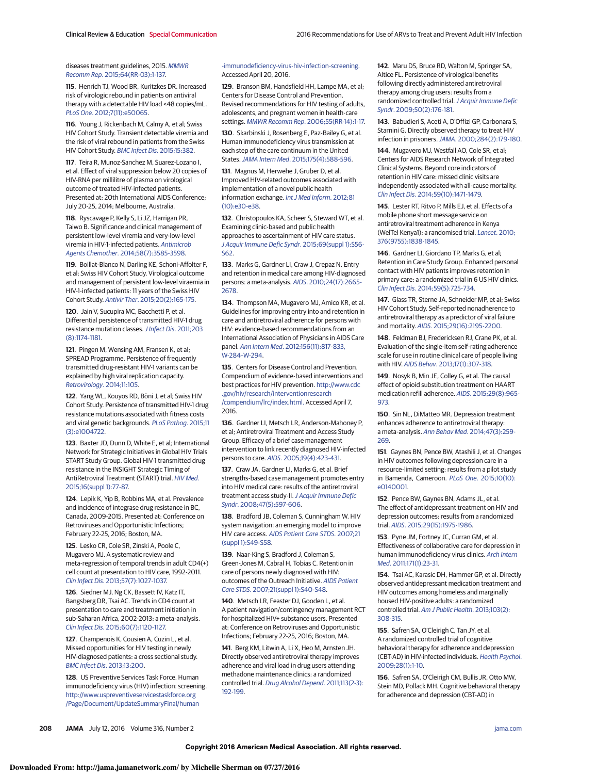#### diseases treatment guidelines, 2015. *[MMWR](http://www.ncbi.nlm.nih.gov/pubmed/26042815) Recomm Rep*[. 2015;64\(RR-03\):1-137.](http://www.ncbi.nlm.nih.gov/pubmed/26042815)

**115**. Henrich TJ, Wood BR, Kuritzkes DR. Increased risk of virologic rebound in patients on antiviral therapy with a detectable HIV load <48 copies/mL. *PLoS One*[. 2012;7\(11\):e50065.](http://www.ncbi.nlm.nih.gov/pubmed/23166820)

**116**. Young J, Rickenbach M, Calmy A, et al; Swiss HIV Cohort Study. Transient detectable viremia and the risk of viral rebound in patients from the Swiss HIV Cohort Study. *[BMC Infect Dis](http://www.ncbi.nlm.nih.gov/pubmed/26392270)*. 2015;15:382.

**117**. Teira R, Munoz-Sanchez M, Suarez-Lozano I, et al. Effect of viral suppression below 20 copies of HIV-RNA per millilitre of plasma on virological outcome of treated HIV-infected patients. Presented at: 20th International AIDS Conference; July 20-25, 2014; Melbourne, Australia.

**118**. Ryscavage P, Kelly S, Li JZ, Harrigan PR, Taiwo B. Significance and clinical management of persistent low-level viremia and very-low-level viremia in HIV-1-infected patients. *[Antimicrob](http://www.ncbi.nlm.nih.gov/pubmed/24733471) Agents Chemother*[. 2014;58\(7\):3585-3598.](http://www.ncbi.nlm.nih.gov/pubmed/24733471)

**119**. Boillat-Blanco N, Darling KE, Schoni-Affolter F, et al; Swiss HIV Cohort Study. Virological outcome and management of persistent low-level viraemia in HIV-1-infected patients: 11 years of the Swiss HIV Cohort Study. *Antivir Ther*[. 2015;20\(2\):165-175.](http://www.ncbi.nlm.nih.gov/pubmed/24964403)

**120**. Jain V, Sucupira MC, Bacchetti P, et al. Differential persistence of transmitted HIV-1 drug resistance mutation classes.*[J Infect Dis](http://www.ncbi.nlm.nih.gov/pubmed/21451005)*. 2011;203 [\(8\):1174-1181.](http://www.ncbi.nlm.nih.gov/pubmed/21451005)

**121**. Pingen M, Wensing AM, Fransen K, et al; SPREAD Programme. Persistence of frequently transmitted drug-resistant HIV-1 variants can be explained by high viral replication capacity. *[Retrovirology](http://www.ncbi.nlm.nih.gov/pubmed/25575025)*. 2014;11:105.

**122**. Yang WL, Kouyos RD, Böni J, et al; Swiss HIV Cohort Study. Persistence of transmitted HIV-1 drug resistance mutations associated with fitness costs and viral genetic backgrounds. *[PLoS Pathog](http://www.ncbi.nlm.nih.gov/pubmed/25798934)*. 2015;11 [\(3\):e1004722.](http://www.ncbi.nlm.nih.gov/pubmed/25798934)

**123**. Baxter JD, Dunn D, White E, et al; International Network for Strategic Initiatives in Global HIV Trials START Study Group. Global HIV-1 transmitted drug resistance in the INSIGHT Strategic Timing of AntiRetroviral Treatment (START) trial. *[HIV Med](http://www.ncbi.nlm.nih.gov/pubmed/25711326)*. [2015;16\(suppl 1\):77-87.](http://www.ncbi.nlm.nih.gov/pubmed/25711326)

**124**. Lepik K, Yip B, Robbins MA, et al. Prevalence and incidence of integrase drug resistance in BC, Canada, 2009-2015. Presented at: Conference on Retroviruses and Opportunistic Infections; February 22-25, 2016; Boston, MA.

**125**. Lesko CR, Cole SR, Zinski A, Poole C, Mugavero MJ. A systematic review and meta-regression of temporal trends in adult CD4(+) cell count at presentation to HIV care, 1992-2011. *Clin Infect Dis*[. 2013;57\(7\):1027-1037.](http://www.ncbi.nlm.nih.gov/pubmed/23921882)

**126**. Siedner MJ, Ng CK, Bassett IV, Katz IT, Bangsberg DR, Tsai AC. Trends in CD4 count at presentation to care and treatment initiation in sub-Saharan Africa, 2002-2013: a meta-analysis. *Clin Infect Dis*[. 2015;60\(7\):1120-1127.](http://www.ncbi.nlm.nih.gov/pubmed/25516189)

**127**. Champenois K, Cousien A, Cuzin L, et al. Missed opportunities for HIV testing in newly HIV-diagnosed patients: a cross sectional study. *[BMC Infect Dis](http://www.ncbi.nlm.nih.gov/pubmed/23638870)*. 2013;13:200.

**128**. US Preventive Services Task Force. Human immunodeficiency virus (HIV) infection: screening. [http://www.uspreventiveservicestaskforce.org](http://www.uspreventiveservicestaskforce.org/Page/Document/UpdateSummaryFinal/human-immunodeficiency-virus-hiv-infection-screening) [/Page/Document/UpdateSummaryFinal/human](http://www.uspreventiveservicestaskforce.org/Page/Document/UpdateSummaryFinal/human-immunodeficiency-virus-hiv-infection-screening)

#### [-immunodeficiency-virus-hiv-infection-screening.](http://www.uspreventiveservicestaskforce.org/Page/Document/UpdateSummaryFinal/human-immunodeficiency-virus-hiv-infection-screening) Accessed April 20, 2016.

**129**. Branson BM, Handsfield HH, Lampe MA, et al; Centers for Disease Control and Prevention. Revised recommendations for HIV testing of adults, adolescents, and pregnant women in health-care settings. *MMWR Recomm Rep*[. 2006;55\(RR-14\):1-17.](http://www.ncbi.nlm.nih.gov/pubmed/16988643)

**130**. Skarbinski J, Rosenberg E, Paz-Bailey G, et al. Human immunodeficiency virus transmission at each step of the care continuum in the United States.*JAMA Intern Med*[. 2015;175\(4\):588-596.](http://www.ncbi.nlm.nih.gov/pubmed/25706928)

**131**. Magnus M, Herwehe J, Gruber D, et al. Improved HIV-related outcomes associated with implementation of a novel public health information exchange. *[Int J Med Inform](http://www.ncbi.nlm.nih.gov/pubmed/22883431)*. 2012;81 [\(10\):e30-e38.](http://www.ncbi.nlm.nih.gov/pubmed/22883431)

**132**. Christopoulos KA, Scheer S, Steward WT, et al. Examining clinic-based and public health approaches to ascertainment of HIV care status. *[J Acquir Immune Defic Syndr](http://www.ncbi.nlm.nih.gov/pubmed/25867779)*. 2015;69(suppl 1):S56- [S62.](http://www.ncbi.nlm.nih.gov/pubmed/25867779)

**133**. Marks G, Gardner LI, Craw J, Crepaz N. Entry and retention in medical care among HIV-diagnosed persons: a meta-analysis. *AIDS*[. 2010;24\(17\):2665-](http://www.ncbi.nlm.nih.gov/pubmed/20841990) [2678.](http://www.ncbi.nlm.nih.gov/pubmed/20841990)

**134**. Thompson MA, Mugavero MJ, Amico KR, et al. Guidelines for improving entry into and retention in care and antiretroviral adherence for persons with HIV: evidence-based recommendations from an International Association of Physicians in AIDS Care panel. *Ann Intern Med*[. 2012;156\(11\):817-833,](http://www.ncbi.nlm.nih.gov/pubmed/22393036) [W-284–W-294.](http://www.ncbi.nlm.nih.gov/pubmed/22393036)

**135**. Centers for Disease Control and Prevention. Compendium of evidence-based interventions and best practices for HIV prevention. [http://www.cdc](http://www.cdc.gov/hiv/research/interventionresearch/compendium/lrc/index.html) [.gov/hiv/research/interventionresearch](http://www.cdc.gov/hiv/research/interventionresearch/compendium/lrc/index.html) [/compendium/lrc/index.html.](http://www.cdc.gov/hiv/research/interventionresearch/compendium/lrc/index.html) Accessed April 7, 2016.

**136**. Gardner LI, Metsch LR, Anderson-Mahoney P, et al; Antiretroviral Treatment and Access Study Group. Efficacy of a brief case management intervention to link recently diagnosed HIV-infected persons to care. *AIDS*[. 2005;19\(4\):423-431.](http://www.ncbi.nlm.nih.gov/pubmed/15750396)

**137**. Craw JA, Gardner LI, Marks G, et al. Brief strengths-based case management promotes entry into HIV medical care: results of the antiretroviral treatment access study-II.*[J Acquir Immune Defic](http://www.ncbi.nlm.nih.gov/pubmed/18285714) Syndr*[. 2008;47\(5\):597-606.](http://www.ncbi.nlm.nih.gov/pubmed/18285714)

**138**. Bradford JB, Coleman S, Cunningham W. HIV system navigation: an emerging model to improve HIV care access. *[AIDS Patient Care STDS](http://www.ncbi.nlm.nih.gov/pubmed/17563290)*. 2007;21 [\(suppl 1\):S49-S58.](http://www.ncbi.nlm.nih.gov/pubmed/17563290)

**139**. Naar-King S, Bradford J, Coleman S, Green-Jones M, Cabral H, Tobias C. Retention in care of persons newly diagnosed with HIV: outcomes of the Outreach Initiative. *[AIDS Patient](http://www.ncbi.nlm.nih.gov/pubmed/17563289) Care STDS*[. 2007;21\(suppl 1\):S40-S48.](http://www.ncbi.nlm.nih.gov/pubmed/17563289)

**140**. Metsch LR, Feaster DJ, Gooden L, et al. A patient navigation/contingency management RCT for hospitalized HIV+ substance users. Presented at: Conference on Retroviruses and Opportunistic Infections; February 22-25, 2016; Boston, MA.

**141**. Berg KM, Litwin A, Li X, Heo M, Arnsten JH. Directly observed antiretroviral therapy improves adherence and viral load in drug users attending methadone maintenance clinics: a randomized controlled trial. *[Drug Alcohol Depend](http://www.ncbi.nlm.nih.gov/pubmed/20832196)*. 2011;113(2-3): [192-199.](http://www.ncbi.nlm.nih.gov/pubmed/20832196)

**142**. Maru DS, Bruce RD, Walton M, Springer SA, Altice FL. Persistence of virological benefits following directly administered antiretroviral therapy among drug users: results from a randomized controlled trial.*[J Acquir Immune Defic](http://www.ncbi.nlm.nih.gov/pubmed/19131891) Syndr*[. 2009;50\(2\):176-181.](http://www.ncbi.nlm.nih.gov/pubmed/19131891)

**143**. Babudieri S, Aceti A, D'Offizi GP, Carbonara S, Starnini G. Directly observed therapy to treat HIV infection in prisoners.*JAMA*[. 2000;284\(2\):179-180.](http://www.ncbi.nlm.nih.gov/pubmed/10889588)

**144**. Mugavero MJ, Westfall AO, Cole SR, et al; Centers for AIDS Research Network of Integrated Clinical Systems. Beyond core indicators of retention in HIV care: missed clinic visits are independently associated with all-cause mortality. *Clin Infect Dis*[. 2014;59\(10\):1471-1479.](http://www.ncbi.nlm.nih.gov/pubmed/25091306)

**145**. Lester RT, Ritvo P, Mills EJ, et al. Effects of a mobile phone short message service on antiretroviral treatment adherence in Kenya (WelTel Kenya1): a randomised trial. *Lancet*[. 2010;](http://www.ncbi.nlm.nih.gov/pubmed/21071074) [376\(9755\):1838-1845.](http://www.ncbi.nlm.nih.gov/pubmed/21071074)

**146**. Gardner LI, Giordano TP, Marks G, et al; Retention in Care Study Group. Enhanced personal contact with HIV patients improves retention in primary care: a randomized trial in 6 US HIV clinics. *Clin Infect Dis*[. 2014;59\(5\):725-734.](http://www.ncbi.nlm.nih.gov/pubmed/24837481)

**147**. Glass TR, Sterne JA, Schneider MP, et al; Swiss HIV Cohort Study. Self-reported nonadherence to antiretroviral therapy as a predictor of viral failure and mortality. *AIDS*[. 2015;29\(16\):2195-2200.](http://www.ncbi.nlm.nih.gov/pubmed/26544582)

**148**. Feldman BJ, Fredericksen RJ, Crane PK, et al. Evaluation of the single-item self-rating adherence scale for use in routine clinical care of people living with HIV. *AIDS Behav*[. 2013;17\(1\):307-318.](http://www.ncbi.nlm.nih.gov/pubmed/23108721)

**149**. Nosyk B, Min JE, Colley G, et al. The causal effect of opioid substitution treatment on HAART medication refill adherence. *AIDS*[. 2015;29\(8\):965-](http://www.ncbi.nlm.nih.gov/pubmed/25915170) [973.](http://www.ncbi.nlm.nih.gov/pubmed/25915170)

**150**. Sin NL, DiMatteo MR. Depression treatment enhances adherence to antiretroviral therapy: a meta-analysis. *Ann Behav Med*[. 2014;47\(3\):259-](http://www.ncbi.nlm.nih.gov/pubmed/24234601) [269.](http://www.ncbi.nlm.nih.gov/pubmed/24234601)

**151**. Gaynes BN, Pence BW, Atashili J, et al. Changes in HIV outcomes following depression care in a resource-limited setting: results from a pilot study in Bamenda, Cameroon. *PLoS One*[. 2015;10\(10\):](http://www.ncbi.nlm.nih.gov/pubmed/26469186) [e0140001.](http://www.ncbi.nlm.nih.gov/pubmed/26469186)

**152**. Pence BW, Gaynes BN, Adams JL, et al. The effect of antidepressant treatment on HIV and depression outcomes: results from a randomized trial. *AIDS*[. 2015;29\(15\):1975-1986.](http://www.ncbi.nlm.nih.gov/pubmed/26134881)

**153**. Pyne JM, Fortney JC, Curran GM, et al. Effectiveness of collaborative care for depression in human immunodeficiency virus clinics. *[Arch Intern](http://www.ncbi.nlm.nih.gov/pubmed/21220657) Med*[. 2011;171\(1\):23-31.](http://www.ncbi.nlm.nih.gov/pubmed/21220657)

**154**. Tsai AC, Karasic DH, Hammer GP, et al. Directly observed antidepressant medication treatment and HIV outcomes among homeless and marginally housed HIV-positive adults: a randomized controlled trial. *[Am J Public Health](http://www.ncbi.nlm.nih.gov/pubmed/22720766)*. 2013;103(2): [308-315.](http://www.ncbi.nlm.nih.gov/pubmed/22720766)

**155**. Safren SA, O'Cleirigh C, Tan JY, et al. A randomized controlled trial of cognitive behavioral therapy for adherence and depression (CBT-AD) in HIV-infected individuals. *[Health Psychol](http://www.ncbi.nlm.nih.gov/pubmed/19210012)*. [2009;28\(1\):1-10.](http://www.ncbi.nlm.nih.gov/pubmed/19210012)

**156**. Safren SA, O'Cleirigh CM, Bullis JR, Otto MW, Stein MD, Pollack MH. Cognitive behavioral therapy for adherence and depression (CBT-AD) in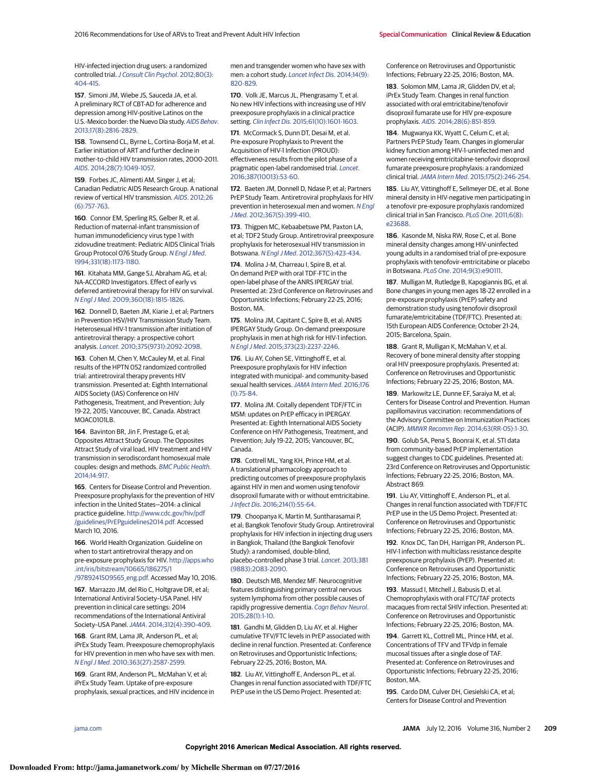HIV-infected injection drug users: a randomized controlled trial. *[J Consult Clin Psychol](http://www.ncbi.nlm.nih.gov/pubmed/22545737)*. 2012;80(3): [404-415.](http://www.ncbi.nlm.nih.gov/pubmed/22545737)

**157**. Simoni JM, Wiebe JS, Sauceda JA, et al. A preliminary RCT of CBT-AD for adherence and depression among HIV-positive Latinos on the U.S.-Mexico border: the Nuevo Día study. *[AIDS Behav](http://www.ncbi.nlm.nih.gov/pubmed/23812892)*. [2013;17\(8\):2816-2829.](http://www.ncbi.nlm.nih.gov/pubmed/23812892)

**158**. Townsend CL, Byrne L, Cortina-Borja M, et al. Earlier initiation of ART and further decline in mother-to-child HIV transmission rates, 2000-2011. *AIDS*[. 2014;28\(7\):1049-1057.](http://www.ncbi.nlm.nih.gov/pubmed/24566097)

**159**. Forbes JC, Alimenti AM, Singer J, et al; Canadian Pediatric AIDS Research Group. A national review of vertical HIV transmission. *AIDS*[. 2012;26](http://www.ncbi.nlm.nih.gov/pubmed/22210635) [\(6\):757-763.](http://www.ncbi.nlm.nih.gov/pubmed/22210635)

**160**. Connor EM, Sperling RS, Gelber R, et al. Reduction of maternal-infant transmission of human immunodeficiency virus type 1 with zidovudine treatment: Pediatric AIDS Clinical Trials Group Protocol 076 Study Group. *[N Engl J Med](http://www.ncbi.nlm.nih.gov/pubmed/7935654)*. [1994;331\(18\):1173-1180.](http://www.ncbi.nlm.nih.gov/pubmed/7935654)

**161**. Kitahata MM, Gange SJ, Abraham AG, et al; NA-ACCORD Investigators. Effect of early vs deferred antiretroviral therapy for HIV on survival. *N Engl J Med*[. 2009;360\(18\):1815-1826.](http://www.ncbi.nlm.nih.gov/pubmed/19339714)

**162**. Donnell D, Baeten JM, Kiarie J, et al; Partners in Prevention HSV/HIV Transmission Study Team. Heterosexual HIV-1 transmission after initiation of antiretroviral therapy: a prospective cohort analysis. *Lancet*[. 2010;375\(9731\):2092-2098.](http://www.ncbi.nlm.nih.gov/pubmed/20537376)

**163**. Cohen M, Chen Y, McCauley M, et al. Final results of the HPTN 052 randomized controlled trial: antiretroviral therapy prevents HIV transmission. Presented at: Eighth International AIDS Society (IAS) Conference on HIV Pathogenesis, Treatment, and Prevention; July 19-22, 2015; Vancouver, BC, Canada. Abstract MOAC0101LB.

**164**. Bavinton BR, Jin F, Prestage G, et al; Opposites Attract Study Group. The Opposites Attract Study of viral load, HIV treatment and HIV transmission in serodiscordant homosexual male couples: design and methods. *[BMC Public Health](http://www.ncbi.nlm.nih.gov/pubmed/25190360)*. [2014;14:917.](http://www.ncbi.nlm.nih.gov/pubmed/25190360)

**165**. Centers for Disease Control and Prevention. Preexposure prophylaxis for the prevention of HIV infection in the United States—2014: a clinical practice guideline. [http://www.cdc.gov/hiv/pdf](http://www.cdc.gov/hiv/pdf/guidelines/PrEPguidelines2014.pdf) [/guidelines/PrEPguidelines2014.pdf.](http://www.cdc.gov/hiv/pdf/guidelines/PrEPguidelines2014.pdf) Accessed March 10, 2016.

**166**. World Health Organization. Guideline on when to start antiretroviral therapy and on pre-exposure prophylaxis for HIV. [http://apps.who](http://apps.who.int/iris/bitstream/10665/186275/1/9789241509565_eng.pdf) [.int/iris/bitstream/10665/186275/1](http://apps.who.int/iris/bitstream/10665/186275/1/9789241509565_eng.pdf) [/9789241509565\\_eng.pdf.](http://apps.who.int/iris/bitstream/10665/186275/1/9789241509565_eng.pdf) Accessed May 10, 2016.

**167**. Marrazzo JM, del Rio C, Holtgrave DR, et al; International Antiviral Society–USA Panel. HIV prevention in clinical care settings: 2014 recommendations of the International Antiviral Society–USA Panel.*JAMA*[. 2014;312\(4\):390-409.](http://www.ncbi.nlm.nih.gov/pubmed/25038358)

**168**. Grant RM, Lama JR, Anderson PL, et al; iPrEx Study Team. Preexposure chemoprophylaxis for HIV prevention in men who have sex with men. *N Engl J Med*[. 2010;363\(27\):2587-2599.](http://www.ncbi.nlm.nih.gov/pubmed/21091279)

**169**. Grant RM, Anderson PL, McMahan V, et al; iPrEx Study Team. Uptake of pre-exposure prophylaxis, sexual practices, and HIV incidence in men and transgender women who have sex with men: a cohort study. *[Lancet Infect Dis](http://www.ncbi.nlm.nih.gov/pubmed/25065857)*. 2014;14(9): [820-829.](http://www.ncbi.nlm.nih.gov/pubmed/25065857)

**170**. Volk JE, Marcus JL, Phengrasamy T, et al. No new HIV infections with increasing use of HIV preexposure prophylaxis in a clinical practice setting. *Clin Infect Dis*[. 2015;61\(10\):1601-1603.](http://www.ncbi.nlm.nih.gov/pubmed/26334052)

**171**. McCormack S, Dunn DT, Desai M, et al. Pre-exposure Prophylaxis to Prevent the Acquisition of HIV-1 Infection (PROUD): effectiveness results from the pilot phase of a pragmatic open-label randomised trial. *[Lancet](http://www.ncbi.nlm.nih.gov/pubmed/26364263)*. [2016;387\(10013\):53-60.](http://www.ncbi.nlm.nih.gov/pubmed/26364263)

**172**. Baeten JM, Donnell D, Ndase P, et al; Partners PrEP Study Team. Antiretroviral prophylaxis for HIV prevention in heterosexual men and women. *[N Engl](http://www.ncbi.nlm.nih.gov/pubmed/22784037) J Med*[. 2012;367\(5\):399-410.](http://www.ncbi.nlm.nih.gov/pubmed/22784037)

**173**. Thigpen MC, Kebaabetswe PM, Paxton LA, et al; TDF2 Study Group. Antiretroviral preexposure prophylaxis for heterosexual HIV transmission in Botswana. *N Engl J Med*[. 2012;367\(5\):423-434.](http://www.ncbi.nlm.nih.gov/pubmed/22784038)

**174**. Molina J-M, Charreau I, Spire B, et al. On demand PrEP with oral TDF-FTC in the open-label phase of the ANRS IPERGAY trial. Presented at: 23rd Conference on Retroviruses and Opportunistic Infections; February 22-25, 2016; Boston, MA.

**175**. Molina JM, Capitant C, Spire B, et al; ANRS IPERGAY Study Group. On-demand preexposure prophylaxis in men at high risk for HIV-1 infection. *N Engl J Med*[. 2015;373\(23\):2237-2246.](http://www.ncbi.nlm.nih.gov/pubmed/26624850)

**176**. Liu AY, Cohen SE, Vittinghoff E, et al. Preexposure prophylaxis for HIV infection integrated with municipal- and community-based sexual health services.*[JAMA Intern Med](http://www.ncbi.nlm.nih.gov/pubmed/26571482)*. 2016;176 [\(1\):75-84.](http://www.ncbi.nlm.nih.gov/pubmed/26571482)

**177**. Molina JM. Coitally dependent TDF/FTC in MSM: updates on PrEP efficacy in IPERGAY. Presented at: Eighth International AIDS Society Conference on HIV Pathogenesis, Treatment, and Prevention; July 19-22, 2015; Vancouver, BC, Canada.

**178**. Cottrell ML, Yang KH, Prince HM, et al. A translational pharmacology approach to predicting outcomes of preexposure prophylaxis against HIV in men and women using tenofovir disoproxil fumarate with or without emtricitabine. *J Infect Dis*[. 2016;214\(1\):55-64.](http://www.ncbi.nlm.nih.gov/pubmed/26917574)

**179**. Choopanya K, Martin M, Suntharasamai P, et al; Bangkok Tenofovir Study Group. Antiretroviral prophylaxis for HIV infection in injecting drug users in Bangkok, Thailand (the Bangkok Tenofovir Study): a randomised, double-blind, placebo-controlled phase 3 trial. *Lancet*[. 2013;381](http://www.ncbi.nlm.nih.gov/pubmed/23769234) [\(9883\):2083-2090.](http://www.ncbi.nlm.nih.gov/pubmed/23769234)

**180**. Deutsch MB, Mendez MF. Neurocognitive features distinguishing primary central nervous system lymphoma from other possible causes of rapidly progressive dementia. *[Cogn Behav Neurol](http://www.ncbi.nlm.nih.gov/pubmed/25812125)*. [2015;28\(1\):1-10.](http://www.ncbi.nlm.nih.gov/pubmed/25812125)

**181**. Gandhi M, Glidden D, Liu AY, et al. Higher cumulative TFV/FTC levels in PrEP associated with decline in renal function. Presented at: Conference on Retroviruses and Opportunistic Infections; February 22-25, 2016; Boston, MA.

**182**. Liu AY, Vittinghoff E, Anderson PL, et al. Changes in renal function associated with TDF/FTC PrEP use in the US Demo Project. Presented at:

Conference on Retroviruses and Opportunistic Infections; February 22-25, 2016; Boston, MA.

**183**. Solomon MM, Lama JR, Glidden DV, et al; iPrEx Study Team. Changes in renal function associated with oral emtricitabine/tenofovir disoproxil fumarate use for HIV pre-exposure prophylaxis. *AIDS*[. 2014;28\(6\):851-859.](http://www.ncbi.nlm.nih.gov/pubmed/24499951)

**184**. Mugwanya KK, Wyatt C, Celum C, et al; Partners PrEP Study Team. Changes in glomerular kidney function among HIV-1-uninfected men and women receiving emtricitabine-tenofovir disoproxil fumarate preexposure prophylaxis: a randomized clinical trial. *JAMA Intern Med*[. 2015;175\(2\):246-254.](http://www.ncbi.nlm.nih.gov/pubmed/25531343)

**185**. Liu AY, Vittinghoff E, Sellmeyer DE, et al. Bone mineral density in HIV-negative men participating in a tenofovir pre-exposure prophylaxis randomized clinical trial in San Francisco. *PLoS One*[. 2011;6\(8\):](http://www.ncbi.nlm.nih.gov/pubmed/21897852) [e23688.](http://www.ncbi.nlm.nih.gov/pubmed/21897852)

**186**. Kasonde M, Niska RW, Rose C, et al. Bone mineral density changes among HIV-uninfected young adults in a randomised trial of pre-exposure prophylaxis with tenofovir-emtricitabine or placebo in Botswana. *PLoS One*[. 2014;9\(3\):e90111.](http://www.ncbi.nlm.nih.gov/pubmed/24625530)

**187**. Mulligan M, Rutledge B, Kapogiannis BG, et al. Bone changes in young men ages 18-22 enrolled in a pre-exposure prophylaxis (PrEP) safety and demonstration study using tenofovir disoproxil fumarate/emtricitabine (TDF/FTC). Presented at: 15th European AIDS Conference; October 21-24, 2015; Barcelona, Spain.

**188**. Grant R, Mulligan K, McMahan V, et al. Recovery of bone mineral density after stopping oral HIV preexposure prophylaxis. Presented at: Conference on Retroviruses and Opportunistic Infections; February 22-25, 2016; Boston, MA.

**189**. Markowitz LE, Dunne EF, Saraiya M, et al; Centers for Disease Control and Prevention. Human papillomavirus vaccination: recommendations of the Advisory Committee on Immunization Practices (ACIP). *MMWR Recomm Rep*[. 2014;63\(RR-05\):1-30.](http://www.ncbi.nlm.nih.gov/pubmed/25167164)

**190**. Golub SA, Pena S, Boonrai K, et al. STI data from community-based PrEP implementation suggest changes to CDC guidelines. Presented at: 23rd Conference on Retroviruses and Opportunistic Infections; February 22-25, 2016; Boston, MA. Abstract 869.

**191**. Liu AY, Vittinghoff E, Anderson PL, et al. Changes in renal function associated with TDF/FTC PrEP use in the US Demo Project. Presented at: Conference on Retroviruses and Opportunistic Infections; February 22-25, 2016; Boston, MA.

**192**. Knox DC, Tan DH, Harrigan PR, Anderson PL. HIV-1 infection with multiclass resistance despite preexposure prophylaxis (PrEP). Presented at: Conference on Retroviruses and Opportunistic Infections; February 22-25, 2016; Boston, MA.

**193**. Massud I, Mitchell J, Babusis D, et al. Chemoprophylaxis with oral FTC/TAF protects macaques from rectal SHIV infection. Presented at: Conference on Retroviruses and Opportunistic Infections; February 22-25, 2016; Boston, MA.

**194**. Garrett KL, Cottrell ML, Prince HM, et al. Concentrations of TFV and TFVdp in female mucosal tissues after a single dose of TAF. Presented at: Conference on Retroviruses and Opportunistic Infections; February 22-25, 2016; Boston, MA.

**195**. Cardo DM, Culver DH, Ciesielski CA, et al; Centers for Disease Control and Prevention